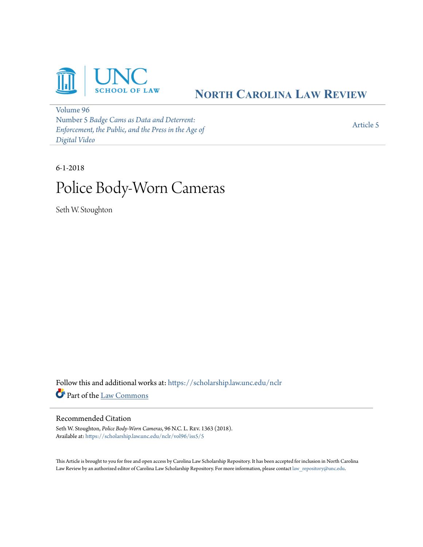

## **NORTH C[AROLINA](https://scholarship.law.unc.edu/nclr?utm_source=scholarship.law.unc.edu%2Fnclr%2Fvol96%2Fiss5%2F5&utm_medium=PDF&utm_campaign=PDFCoverPages) LAW REVIEW**

[Volume 96](https://scholarship.law.unc.edu/nclr/vol96?utm_source=scholarship.law.unc.edu%2Fnclr%2Fvol96%2Fiss5%2F5&utm_medium=PDF&utm_campaign=PDFCoverPages) Number 5 *[Badge Cams as Data and Deterrent:](https://scholarship.law.unc.edu/nclr/vol96/iss5?utm_source=scholarship.law.unc.edu%2Fnclr%2Fvol96%2Fiss5%2F5&utm_medium=PDF&utm_campaign=PDFCoverPages) [Enforcement, the Public, and the Press in the Age of](https://scholarship.law.unc.edu/nclr/vol96/iss5?utm_source=scholarship.law.unc.edu%2Fnclr%2Fvol96%2Fiss5%2F5&utm_medium=PDF&utm_campaign=PDFCoverPages) [Digital Video](https://scholarship.law.unc.edu/nclr/vol96/iss5?utm_source=scholarship.law.unc.edu%2Fnclr%2Fvol96%2Fiss5%2F5&utm_medium=PDF&utm_campaign=PDFCoverPages)*

[Article 5](https://scholarship.law.unc.edu/nclr/vol96/iss5/5?utm_source=scholarship.law.unc.edu%2Fnclr%2Fvol96%2Fiss5%2F5&utm_medium=PDF&utm_campaign=PDFCoverPages)

6-1-2018

# Police Body-Worn Cameras

Seth W. Stoughton

Follow this and additional works at: [https://scholarship.law.unc.edu/nclr](https://scholarship.law.unc.edu/nclr?utm_source=scholarship.law.unc.edu%2Fnclr%2Fvol96%2Fiss5%2F5&utm_medium=PDF&utm_campaign=PDFCoverPages) Part of the [Law Commons](http://network.bepress.com/hgg/discipline/578?utm_source=scholarship.law.unc.edu%2Fnclr%2Fvol96%2Fiss5%2F5&utm_medium=PDF&utm_campaign=PDFCoverPages)

## Recommended Citation

Seth W. Stoughton, *Police Body-Worn Cameras*, 96 N.C. L. Rev. 1363 (2018). Available at: [https://scholarship.law.unc.edu/nclr/vol96/iss5/5](https://scholarship.law.unc.edu/nclr/vol96/iss5/5?utm_source=scholarship.law.unc.edu%2Fnclr%2Fvol96%2Fiss5%2F5&utm_medium=PDF&utm_campaign=PDFCoverPages)

This Article is brought to you for free and open access by Carolina Law Scholarship Repository. It has been accepted for inclusion in North Carolina Law Review by an authorized editor of Carolina Law Scholarship Repository. For more information, please contact [law\\_repository@unc.edu](mailto:law_repository@unc.edu).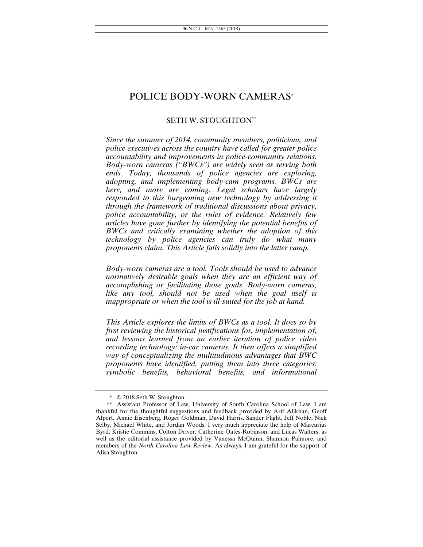#### SETH W. STOUGHTON\*\*

*Since the summer of 2014, community members, politicians, and police executives across the country have called for greater police accountability and improvements in police-community relations. Body-worn cameras ("BWCs") are widely seen as serving both ends. Today, thousands of police agencies are exploring, adopting, and implementing body-cam programs. BWCs are here, and more are coming. Legal scholars have largely responded to this burgeoning new technology by addressing it through the framework of traditional discussions about privacy, police accountability, or the rules of evidence. Relatively few articles have gone further by identifying the potential benefits of BWCs and critically examining whether the adoption of this technology by police agencies can truly do what many proponents claim. This Article falls solidly into the latter camp.* 

*Body-worn cameras are a tool. Tools should be used to advance normatively desirable goals when they are an efficient way of accomplishing or facilitating those goals. Body-worn cameras, like any tool, should not be used when the goal itself is inappropriate or when the tool is ill-suited for the job at hand.* 

*This Article explores the limits of BWCs as a tool. It does so by first reviewing the historical justifications for, implementation of, and lessons learned from an earlier iteration of police video recording technology: in-car cameras. It then offers a simplified way of conceptualizing the multitudinous advantages that BWC proponents have identified, putting them into three categories: symbolic benefits, behavioral benefits, and informational* 

<sup>\* © 2018</sup> Seth W. Stoughton.

<sup>\*\*</sup> Assistant Professor of Law, University of South Carolina School of Law. I am thankful for the thoughtful suggestions and feedback provided by Arif Alikhan, Geoff Alpert, Annie Eisenberg, Roger Goldman, David Harris, Sander Flight, Jeff Noble, Nick Selby, Michael White, and Jordan Woods. I very much appreciate the help of Marcurius Byrd, Kristie Commins, Colton Driver, Catherine Oates-Robinson, and Lucas Walters, as well as the editorial assistance provided by Vanessa McQuinn, Shannon Palmore, and members of the *North Carolina Law Review*. As always, I am grateful for the support of Alisa Stoughton.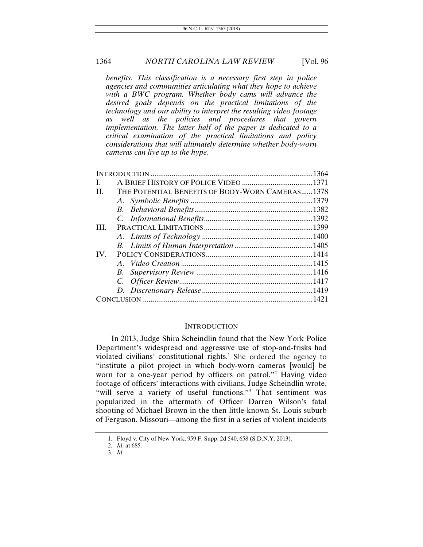*benefits. This classification is a necessary first step in police agencies and communities articulating what they hope to achieve with a BWC program. Whether body cams will advance the desired goals depends on the practical limitations of the technology and our ability to interpret the resulting video footage as well as the policies and procedures that govern implementation. The latter half of the paper is dedicated to a critical examination of the practical limitations and policy considerations that will ultimately determine whether body-worn cameras can live up to the hype.* 

|                                                       | .1364 |
|-------------------------------------------------------|-------|
| Ι.                                                    |       |
| THE POTENTIAL BENEFITS OF BODY-WORN CAMERAS1378<br>H. |       |
|                                                       |       |
|                                                       |       |
|                                                       |       |
| III.                                                  |       |
|                                                       |       |
|                                                       |       |
| IV.                                                   |       |
|                                                       |       |
| <i>B</i> .                                            |       |
|                                                       |       |
|                                                       |       |
|                                                       |       |

#### **INTRODUCTION**

In 2013, Judge Shira Scheindlin found that the New York Police Department's widespread and aggressive use of stop-and-frisks had violated civilians' constitutional rights.<sup>1</sup> She ordered the agency to "institute a pilot project in which body-worn cameras [would] be worn for a one-year period by officers on patrol."2 Having video footage of officers' interactions with civilians, Judge Scheindlin wrote, "will serve a variety of useful functions."<sup>3</sup> That sentiment was popularized in the aftermath of Officer Darren Wilson's fatal shooting of Michael Brown in the then little-known St. Louis suburb of Ferguson, Missouri—among the first in a series of violent incidents

 <sup>1.</sup> Floyd v. City of New York, 959 F. Supp. 2d 540, 658 (S.D.N.Y. 2013).

 <sup>2.</sup> *Id*. at 685.

<sup>3.</sup> *Id*.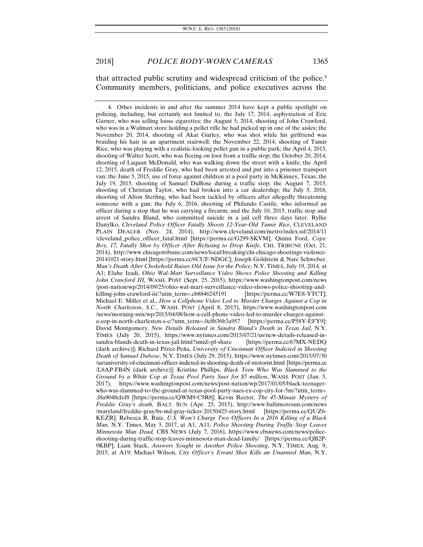that attracted public scrutiny and widespread criticism of the police.4 Community members, politicians, and police executives across the

 <sup>4.</sup> Other incidents in and after the summer 2014 have kept a public spotlight on policing, including, but certainly not limited to, the July 17, 2014, asphyxiation of Eric Garner, who was selling loose cigarettes; the August 5, 2014, shooting of John Crawford, who was in a Walmart store holding a pellet rifle he had picked up in one of the aisles; the November 20, 2014, shooting of Akai Gurley, who was shot while his girlfriend was braiding his hair in an apartment stairwell; the November 22, 2014, shooting of Tamir Rice, who was playing with a realistic-looking pellet gun in a public park; the April 4, 2015, shooting of Walter Scott, who was fleeing on foot from a traffic stop; the October 20, 2014, shooting of Laquan McDonald, who was walking down the street with a knife; the April 12, 2015, death of Freddie Gray, who had been arrested and put into a prisoner transport van; the June 5, 2015, use of force against children at a pool party in McKinney, Texas; the July 19, 2015, shooting of Samuel DuBose during a traffic stop; the August 7, 2015, shooting of Christian Taylor, who had broken into a car dealership; the July 5, 2016, shooting of Alton Sterling, who had been tackled by officers after allegedly threatening someone with a gun; the July 6, 2016, shooting of Philando Castile, who informed an officer during a stop that he was carrying a firearm; and the July 10, 2015, traffic stop and arrest of Sandra Bland, who committed suicide in a jail cell three days later. Ryllie Danylko, *Cleveland Police Officer Fatally Shoots 12-Year-Old Tamir Rice*, CLEVELAND PLAIN DEALER (Nov. 24, 2014), http://www.cleveland.com/metro/index.ssf/2014/11 /cleveland\_police\_officer\_fatal.html [https://perma.cc/G299-SKVM]; Quinn Ford, *Cops: Boy, 17, Fatally Shot by Officer After Refusing to Drop Knife*, CHI. TRIBUNE (Oct. 21, 2014), http://www.chicagotribune.com/news/local/breaking/chi-chicago-shootings-violence-20141021-story.html [https://perma.cc/6CUF-NDGC]; Joseph Goldstein & Nate Schweber, *Man's Death After Chokehold Raises Old Issue for the Police*, N.Y. TIMES, July 19, 2014, at A1; Elahe Izadi, *Ohio Wal-Mart Surveillance Video Shows Police Shooting and Killing John Crawford III,* WASH. POST (Sept. 25, 2015), https://www.washingtonpost.com/news /post-nation/wp/2014/09/25/ohio-wal-mart-surveillance-video-shows-police-shooting-andkilling-john-crawford-iii/?utm\_term=.cb8846245191 [https://perma.cc/W7E8-YTCT]; Michael E. Miller et al., *How a Cellphone Video Led to Murder Charges Against a Cop in North Charleston*, *S.C.*, WASH. POST (April 8, 2015), https://www.washingtonpost.com /news/morning-mix/wp/2015/04/08/how-a-cell-phone-video-led-to-murder-charges-againsta-cop-in-north-charleston-s-c/?utm\_term=.0c8b36b3a957 [https://perma.cc/P58Y-EFY9]; David Montgomery, *New Details Released in Sandra Bland's Death in Texas Jail*, N.Y. TIMES (July 20, 2015), https://www.nytimes.com/2015/07/21/us/new-details-released-insandra-blands-death-in-texas-jail.html?smid=pl-share [https://perma.cc/67MX-NEDQ (dark archive)]; Richard Pérez-Peña, *University of Cincinnati Officer Indicted in Shooting Death of Samuel Dubose*, N.Y. TIMES (July 29, 2015), https://www.nytimes.com/2015/07/30 /us/university-of-cincinnati-officer-indicted-in-shooting-death-of-motorist.html [https://perma.cc /L8AP-FB4N (dark archive)]; Kristine Phillips, *Black Teen Who Was Slammed to the Ground by a White Cop at Texas Pool Party Sues for \$5 million*, WASH. POST (Jan. 5, 2017), https://www.washingtonpost.com/news/post-nation/wp/2017/01/05/black-teenagerwho-was-slammed-to-the-ground-at-texas-pool-party-sues-ex-cop-city-for-5m/?utm\_term= .f8a9048cfef8 [https://perma.cc/QWM9-C9R8]; Kevin Rector, *The 45-Minute Mystery of Freddie Gray's death,* BALT. SUN (Apr. 25, 2015), http://www.baltimoresun.com/news /maryland/freddie-gray/bs-md-gray-ticker-20150425-story.html [https://perma.cc/QUZ6- KEZR]; Rebecca R. Ruiz, *U.S. Won't Charge Two Officers In a 2016 Killing of a Black Man*, N.Y. Times, May 3, 2017, at A1, A11; *Police Shooting During Traffic Stop Leaves Minnesota Man Dead,* CBS NEWS (July 7, 2016), https://www.cbsnews.com/news/policeshooting-during-traffic-stop-leaves-minnesota-man-dead-family/ [https://perma.cc/QB2P-9KBP]; Liam Stack, *Answers Sought in Another Police Shooting*, N.Y. TIMES, Aug. 9, 2015, at A19; Michael Wilson, *City Officer's Errant Shot Kills an Unarmed Man*, N.Y.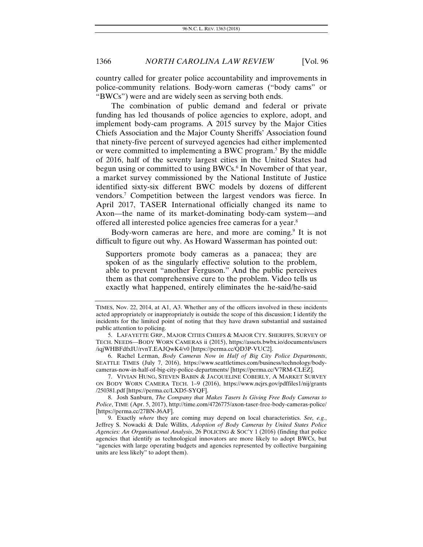country called for greater police accountability and improvements in police-community relations. Body-worn cameras ("body cams" or "BWCs") were and are widely seen as serving both ends.

The combination of public demand and federal or private funding has led thousands of police agencies to explore, adopt, and implement body-cam programs. A 2015 survey by the Major Cities Chiefs Association and the Major County Sheriffs' Association found that ninety-five percent of surveyed agencies had either implemented or were committed to implementing a BWC program.<sup>5</sup> By the middle of 2016, half of the seventy largest cities in the United States had begun using or committed to using BWCs.<sup>6</sup> In November of that year, a market survey commissioned by the National Institute of Justice identified sixty-six different BWC models by dozens of different vendors.<sup>7</sup> Competition between the largest vendors was fierce. In April 2017, TASER International officially changed its name to Axon—the name of its market-dominating body-cam system—and offered all interested police agencies free cameras for a year.8

Body-worn cameras are here, and more are coming.<sup>9</sup> It is not difficult to figure out why. As Howard Wasserman has pointed out:

Supporters promote body cameras as a panacea; they are spoken of as the singularly effective solution to the problem, able to prevent "another Ferguson." And the public perceives them as that comprehensive cure to the problem. Video tells us exactly what happened, entirely eliminates the he-said/he-said

 6. Rachel Lerman, *Body Cameras Now in Half of Big City Police Departments*, SEATTLE TIMES (July 7, 2016), https://www.seattletimes.com/business/technology/bodycameras-now-in-half-of-big-city-police-departments/ [https://perma.cc/V7RM-CLEZ].

 7. VIVIAN HUNG, STEVEN BABIN & JACQUELINE COBERLY, A MARKET SURVEY ON BODY WORN CAMERA TECH. 1–9 (2016), https://www.ncjrs.gov/pdffiles1/nij/grants /250381.pdf [https://perma.cc/LXD5-SYQF].

 8. Josh Sanburn, *The Company that Makes Tasers Is Giving Free Body Cameras to Police*, TIME (Apr. 5, 2017), http://time.com/4726775/axon-taser-free-body-cameras-police/ [https://perma.cc/27BN-J6AF].

TIMES, Nov. 22, 2014, at A1, A3. Whether any of the officers involved in these incidents acted appropriately or inappropriately is outside the scope of this discussion; I identify the incidents for the limited point of noting that they have drawn substantial and sustained public attention to policing.

 <sup>5.</sup> LAFAYETTE GRP., MAJOR CITIES CHIEFS & MAJOR CTY. SHERIFFS, SURVEY OF TECH. NEEDS—BODY WORN CAMERAS ii (2015), https://assets.bwbx.io/documents/users /iqjWHBFdfxIU/rvnT.EAJQwK4/v0 [https://perma.cc/QD3P-VUC2].

 <sup>9.</sup> Exactly *where* they are coming may depend on local characteristics. *See, e.g.*, Jeffrey S. Nowacki & Dale Willits, *Adoption of Body Cameras by United States Police Agencies: An Organisational Analysis*, 26 POLICING & SOC'Y 1 (2016) (finding that police agencies that identify as technological innovators are more likely to adopt BWCs, but "agencies with large operating budgets and agencies represented by collective bargaining units are less likely" to adopt them).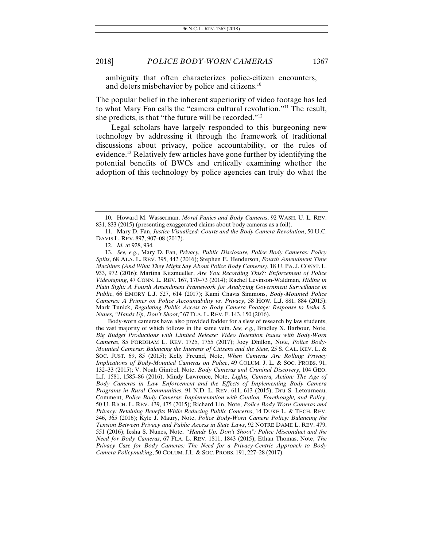ambiguity that often characterizes police-citizen encounters, and deters misbehavior by police and citizens.10

The popular belief in the inherent superiority of video footage has led to what Mary Fan calls the "camera cultural revolution."11 The result, she predicts, is that "the future will be recorded."12

Legal scholars have largely responded to this burgeoning new technology by addressing it through the framework of traditional discussions about privacy, police accountability, or the rules of evidence.13 Relatively few articles have gone further by identifying the potential benefits of BWCs and critically examining whether the adoption of this technology by police agencies can truly do what the

Body-worn cameras have also provided fodder for a slew of research by law students, the vast majority of which follows in the same vein. *See, e.g.*, Bradley X. Barbour, Note, *Big Budget Productions with Limited Release: Video Retention Issues with Body-Worn Cameras*, 85 FORDHAM L. REV. 1725, 1755 (2017); Joey Dhillon, Note, *Police Body-Mounted Cameras: Balancing the Interests of Citizens and the State, 25 S. CAL. REV. L. &* SOC. JUST. 69, 85 (2015); Kelly Freund, Note, *When Cameras Are Rolling: Privacy Implications of Body-Mounted Cameras on Police*, 49 COLUM. J. L. & SOC. PROBS. 91, 132–33 (2015); V. Noah Gimbel, Note, *Body Cameras and Criminal Discovery*, 104 GEO. L.J. 1581, 1585–86 (2016); Mindy Lawrence, Note, *Lights, Camera, Action: The Age of Body Cameras in Law Enforcement and the Effects of Implementing Body Camera Programs in Rural Communities*, 91 N.D. L. REV. 611, 613 (2015); Dru S. Letourneau, Comment, *Police Body Cameras: Implementation with Caution, Forethought, and Policy*, 50 U. RICH. L. REV. 439, 475 (2015); Richard Lin, Note, *Police Body Worn Cameras and Privacy: Retaining Benefits While Reducing Public Concerns*, 14 DUKE L. & TECH. REV. 346, 365 (2016); Kyle J. Maury, Note, *Police Body-Worn Camera Policy: Balancing the Tension Between Privacy and Public Access in State Laws*, 92 NOTRE DAME L. REV. 479, 551 (2016); Iesha S. Nunes, Note, *''Hands Up, Don't Shoot": Police Misconduct and the Need for Body Cameras*, 67 FLA. L. REV. 1811, 1843 (2015); Ethan Thomas, Note, *The Privacy Case for Body Cameras: The Need for a Privacy-Centric Approach to Body Camera Policymaking*, 50 COLUM. J.L. & SOC. PROBS. 191, 227–28 (2017).

 <sup>10.</sup> Howard M. Wasserman, *Moral Panics and Body Cameras*, 92 WASH. U. L. REV. 831, 833 (2015) (presenting exaggerated claims about body cameras as a foil).

 <sup>11.</sup> Mary D. Fan, *Justice Visualized: Courts and the Body Camera Revolution*, 50 U.C. DAVIS L. REV. 897, 907–08 (2017).

<sup>12.</sup> *Id.* at 928, 934.

<sup>13.</sup> *See, e.g.*, Mary D. Fan, *Privacy, Public Disclosure, Police Body Cameras: Policy Splits*, 68 ALA. L. REV. 395, 442 (2016); Stephen E. Henderson, *Fourth Amendment Time Machines (And What They Might Say About Police Body Cameras)*, 18 U. PA. J. CONST. L. 933, 972 (2016); Martina Kitzmueller, *Are You Recording This?: Enforcement of Police Videotaping*, 47 CONN. L. REV. 167, 170–73 (2014); Rachel Levinson-Waldman, *Hiding in Plain Sight: A Fourth Amendment Framework for Analyzing Government Surveillance in Public*, 66 EMORY L.J. 527, 614 (2017); Kami Chavis Simmons, *Body-Mounted Police Cameras: A Primer on Police Accountability vs. Privacy*, 58 HOW. L.J. 881, 884 (2015); Mark Tunick, *Regulating Public Access to Body Camera Footage: Response to Iesha S. Nunes, "Hands Up, Don't Shoot*,*"* 67 FLA. L. REV. F. 143, 150 (2016).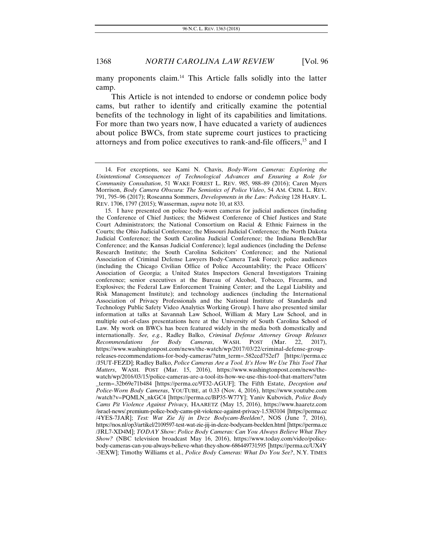many proponents claim.<sup>14</sup> This Article falls solidly into the latter camp.

This Article is not intended to endorse or condemn police body cams, but rather to identify and critically examine the potential benefits of the technology in light of its capabilities and limitations. For more than two years now, I have educated a variety of audiences about police BWCs, from state supreme court justices to practicing attorneys and from police executives to rank-and-file officers,<sup>15</sup> and I

 <sup>14.</sup> For exceptions, see Kami N. Chavis, *Body-Worn Cameras: Exploring the Unintentional Consequences of Technological Advances and Ensuring a Role for Community Consultation*, 51 WAKE FOREST L. REV. 985, 988–89 (2016); Caren Myers Morrison, *Body Camera Obscura: The Semiotics of Police Video*, 54 AM. CRIM. L. REV. 791, 795–96 (2017); Roseanna Sommers, *Developments in the Law: Policing* 128 HARV. L. REV. 1706, 1797 (2015); Wasserman, *supra* note 10, at 833.

 <sup>15.</sup> I have presented on police body-worn cameras for judicial audiences (including the Conference of Chief Justices; the Midwest Conference of Chief Justices and State Court Administrators; the National Consortium on Racial & Ethnic Fairness in the Courts; the Ohio Judicial Conference; the Missouri Judicial Conference; the North Dakota Judicial Conference; the South Carolina Judicial Conference; the Indiana Bench/Bar Conference; and the Kansas Judicial Conference); legal audiences (including the Defense Research Institute; the South Carolina Solicitors' Conference; and the National Association of Criminal Defense Lawyers Body-Camera Task Force); police audiences (including the Chicago Civilian Office of Police Accountability; the Peace Officers' Association of Georgia; a United States Inspectors General Investigators Training conference; senior executives at the Bureau of Alcohol, Tobacco, Firearms, and Explosives; the Federal Law Enforcement Training Center; and the Legal Liability and Risk Management Institute); and technology audiences (including the International Association of Privacy Professionals and the National Institute of Standards and Technology Public Safety Video Analytics Working Group). I have also presented similar information at talks at Savannah Law School, William & Mary Law School, and in multiple out-of-class presentations here at the University of South Carolina School of Law. My work on BWCs has been featured widely in the media both domestically and internationally. *See, e.g.*, Radley Balko, *Criminal Defense Attorney Group Releases Recommendations for Body Cameras*, WASH. POST (Mar. 22, 2017), https://www.washingtonpost.com/news/the-watch/wp/2017/03/22/criminal-defense-groupreleases-recommendations-for-body-cameras/?utm\_term=.582ccd752ef7 [https://perma.cc /J5UT-FEZD]; Radley Balko, *Police Cameras Are a Tool. It's How We Use This Tool That Matters*, WASH. POST (Mar. 15, 2016), https://www.washingtonpost.com/news/thewatch/wp/2016/03/15/police-cameras-are-a-tool-its-how-we-use-this-tool-that-matters/?utm \_term=.32b69e71b484 [https://perma.cc/9T32-AGUF]; The Fifth Estate, *Deception and Police-Worn Body Cameras*, YOUTUBE, at 0.33 (Nov. 4, 2016), https://www.youtube.com /watch?v=PQMLN\_nkGC4 [https://perma.cc/BP35-W77Y]; Yaniv Kubovich, *Police Body Cams Pit Violence Against Privacy,* HAARETZ (May 15, 2016), https://www.haaretz.com /israel-news/.premium-police-body-cams-pit-violence-against-privacy-1.5383104 [https://perma.cc /4YES-7JAR]; *Test: Wat Zie Jij in Deze Bodycam-Beelden?*, NOS (June 7, 2016), https://nos.nl/op3/artikel/2109597-test-wat-zie-jij-in-deze-bodycam-beelden.html [https://perma.cc /JRL7-XD4M]; *TODAY Show*: *Police Body Cameras: Can You Always Believe What They Show?* (NBC television broadcast May 16, 2016), https://www.today.com/video/policebody-cameras-can-you-always-believe-what-they-show-686449731595 [https://perma.cc/UX4Y -3EXW]; Timothy Williams et al., *Police Body Cameras: What Do You See?*, N.Y. TIMES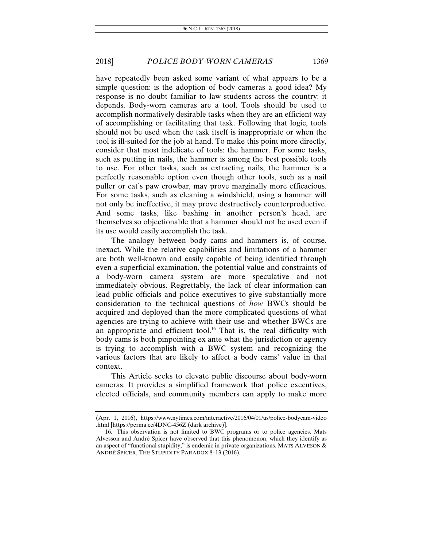have repeatedly been asked some variant of what appears to be a simple question: is the adoption of body cameras a good idea? My response is no doubt familiar to law students across the country: it depends. Body-worn cameras are a tool. Tools should be used to accomplish normatively desirable tasks when they are an efficient way of accomplishing or facilitating that task. Following that logic, tools should not be used when the task itself is inappropriate or when the tool is ill-suited for the job at hand. To make this point more directly, consider that most indelicate of tools: the hammer. For some tasks, such as putting in nails, the hammer is among the best possible tools to use. For other tasks, such as extracting nails, the hammer is a perfectly reasonable option even though other tools, such as a nail puller or cat's paw crowbar, may prove marginally more efficacious. For some tasks, such as cleaning a windshield, using a hammer will not only be ineffective, it may prove destructively counterproductive. And some tasks, like bashing in another person's head, are themselves so objectionable that a hammer should not be used even if its use would easily accomplish the task.

The analogy between body cams and hammers is, of course, inexact. While the relative capabilities and limitations of a hammer are both well-known and easily capable of being identified through even a superficial examination, the potential value and constraints of a body-worn camera system are more speculative and not immediately obvious. Regrettably, the lack of clear information can lead public officials and police executives to give substantially more consideration to the technical questions of *how* BWCs should be acquired and deployed than the more complicated questions of what agencies are trying to achieve with their use and whether BWCs are an appropriate and efficient tool.<sup>16</sup> That is, the real difficulty with body cams is both pinpointing ex ante what the jurisdiction or agency is trying to accomplish with a BWC system and recognizing the various factors that are likely to affect a body cams' value in that context.

This Article seeks to elevate public discourse about body-worn cameras. It provides a simplified framework that police executives, elected officials, and community members can apply to make more

<sup>(</sup>Apr. 1, 2016), https://www.nytimes.com/interactive/2016/04/01/us/police-bodycam-video .html [https://perma.cc/4DNC-456Z (dark archive)].

 <sup>16.</sup> This observation is not limited to BWC programs or to police agencies. Mats Alvesson and André Spicer have observed that this phenomenon, which they identify as an aspect of "functional stupidity," is endemic in private organizations. MATS ALVESON & ANDRÉ SPICER, THE STUPIDITY PARADOX 8–13 (2016).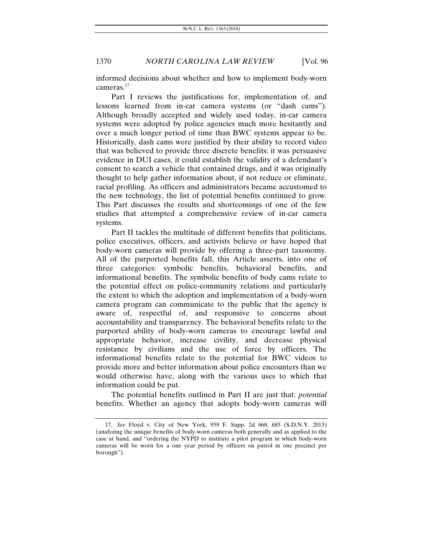informed decisions about whether and how to implement body-worn cameras.17

Part I reviews the justifications for, implementation of, and lessons learned from in-car camera systems (or "dash cams"). Although broadly accepted and widely used today, in-car camera systems were adopted by police agencies much more hesitantly and over a much longer period of time than BWC systems appear to be. Historically, dash cams were justified by their ability to record video that was believed to provide three discrete benefits: it was persuasive evidence in DUI cases, it could establish the validity of a defendant's consent to search a vehicle that contained drugs, and it was originally thought to help gather information about, if not reduce or eliminate, racial profiling. As officers and administrators became accustomed to the new technology, the list of potential benefits continued to grow. This Part discusses the results and shortcomings of one of the few studies that attempted a comprehensive review of in-car camera systems.

Part II tackles the multitude of different benefits that politicians, police executives, officers, and activists believe or have hoped that body-worn cameras will provide by offering a three-part taxonomy. All of the purported benefits fall, this Article asserts, into one of three categories: symbolic benefits, behavioral benefits, and informational benefits. The symbolic benefits of body cams relate to the potential effect on police-community relations and particularly the extent to which the adoption and implementation of a body-worn camera program can communicate to the public that the agency is aware of, respectful of, and responsive to concerns about accountability and transparency. The behavioral benefits relate to the purported ability of body-worn cameras to encourage lawful and appropriate behavior, increase civility, and decrease physical resistance by civilians and the use of force by officers. The informational benefits relate to the potential for BWC videos to provide more and better information about police encounters than we would otherwise have, along with the various uses to which that information could be put.

The potential benefits outlined in Part II are just that: *potential* benefits. Whether an agency that adopts body-worn cameras will

 <sup>17.</sup> *See* Floyd v. City of New York, 959 F. Supp. 2d 668, 685 (S.D.N.Y. 2013) (analyzing the unique benefits of body-worn cameras both generally and as applied to the case at hand, and "ordering the NYPD to institute a pilot program in which body-worn cameras will be worn for a one year period by officers on patrol in one precinct per borough").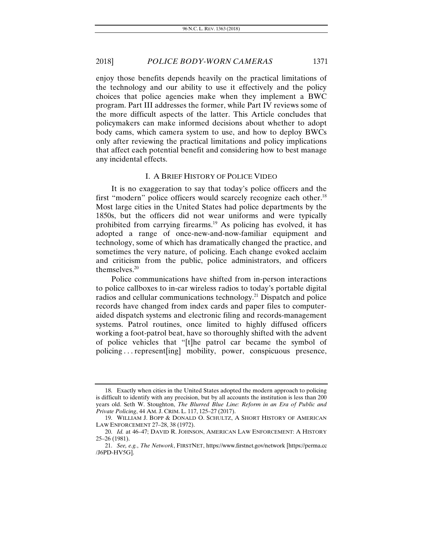enjoy those benefits depends heavily on the practical limitations of the technology and our ability to use it effectively and the policy choices that police agencies make when they implement a BWC program. Part III addresses the former, while Part IV reviews some of the more difficult aspects of the latter. This Article concludes that policymakers can make informed decisions about whether to adopt body cams, which camera system to use, and how to deploy BWCs only after reviewing the practical limitations and policy implications that affect each potential benefit and considering how to best manage any incidental effects.

#### I. A BRIEF HISTORY OF POLICE VIDEO

It is no exaggeration to say that today's police officers and the first "modern" police officers would scarcely recognize each other.<sup>18</sup> Most large cities in the United States had police departments by the 1850s, but the officers did not wear uniforms and were typically prohibited from carrying firearms.<sup>19</sup> As policing has evolved, it has adopted a range of once-new-and-now-familiar equipment and technology, some of which has dramatically changed the practice, and sometimes the very nature, of policing. Each change evoked acclaim and criticism from the public, police administrators, and officers themselves.20

Police communications have shifted from in-person interactions to police callboxes to in-car wireless radios to today's portable digital radios and cellular communications technology.<sup>21</sup> Dispatch and police records have changed from index cards and paper files to computeraided dispatch systems and electronic filing and records-management systems. Patrol routines, once limited to highly diffused officers working a foot-patrol beat, have so thoroughly shifted with the advent of police vehicles that "[t]he patrol car became the symbol of policing . . . represent[ing] mobility, power, conspicuous presence,

 <sup>18.</sup> Exactly when cities in the United States adopted the modern approach to policing is difficult to identify with any precision, but by all accounts the institution is less than 200 years old. Seth W. Stoughton, *The Blurred Blue Line: Reform in an Era of Public and Private Policing*, 44 AM. J. CRIM. L. 117, 125–27 (2017).

 <sup>19.</sup> WILLIAM J. BOPP & DONALD O. SCHULTZ, A SHORT HISTORY OF AMERICAN LAW ENFORCEMENT 27–28, 38 (1972).

<sup>20.</sup> *Id.* at 46–47; DAVID R. JOHNSON, AMERICAN LAW ENFORCEMENT: A HISTORY 25–26 (1981).

<sup>21.</sup> *See, e.g.*, *The Network*, FIRSTNET, https://www.firstnet.gov/network [https://perma.cc /J6PD-HV5G].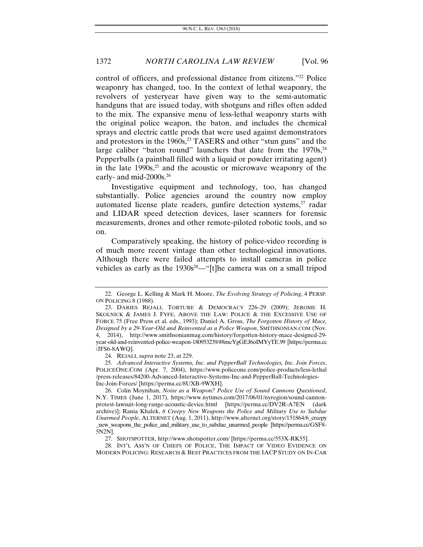control of officers, and professional distance from citizens."22 Police weaponry has changed, too. In the context of lethal weaponry, the revolvers of yesteryear have given way to the semi-automatic handguns that are issued today, with shotguns and rifles often added to the mix. The expansive menu of less-lethal weaponry starts with the original police weapon, the baton, and includes the chemical sprays and electric cattle prods that were used against demonstrators and protestors in the 1960s,<sup>23</sup> TASERS and other "stun guns" and the large caliber "baton round" launchers that date from the  $1970s$ ,  $24$ Pepperballs (a paintball filled with a liquid or powder irritating agent) in the late  $1990s$ ,<sup>25</sup> and the acoustic or microwave weaponry of the early- and mid-2000s.<sup>26</sup>

Investigative equipment and technology, too, has changed substantially. Police agencies around the country now employ automated license plate readers, gunfire detection systems,<sup>27</sup> radar and LIDAR speed detection devices, laser scanners for forensic measurements, drones and other remote-piloted robotic tools, and so on.

Comparatively speaking, the history of police-video recording is of much more recent vintage than other technological innovations. Although there were failed attempts to install cameras in police vehicles as early as the  $1930s^{28}$ —"[t]he camera was on a small tripod

 <sup>22.</sup> George L. Kelling & Mark H. Moore, *The Evolving Strategy of Policing*, 4 PERSP. ON POLICING 8 (1988).

 <sup>23.</sup> DARIES REJALI, TORTURE & DEMOCRACY 226–29 (2009); JEROME H. SKOLNICK & JAMES J. FYFE, ABOVE THE LAW: POLICE & THE EXCESSIVE USE OF FORCE 75 (Free Press et al. eds., 1993); Daniel A. Gross, *The Forgotten History of Mace, Designed by a 29-Year-Old and Reinvented as a Police Weapon*, SMITHSONIAN.COM (Nov. 4, 2014), http://www.smithsonianmag.com/history/forgotten-history-mace-designed-29 year-old-and-reinvented-police-weapon-180953239/#8meYgGEJ6oIMYyTE.99 [https://perma.cc /JFS6-8AWQ].

 <sup>24.</sup> REJALI, *supra* note 23, at 229.

<sup>25.</sup> *Advanced Interactive Systems, Inc. and PepperBall Technologies, Inc. Join Forces*, POLICEONE.COM (Apr. 7, 2004), https://www.policeone.com/police-products/less-lethal /press-releases/84200-Advanced-Interactive-Systems-Inc-and-PepperBall-Technologies-Inc-Join-Forces/ [https://perma.cc/8UXB-9WXH].

 <sup>26.</sup> Colin Moynihan, *Noise as a Weapon? Police Use of Sound Cannons Questioned*, N.Y. TIMES (June 1, 2017), https://www.nytimes.com/2017/06/01/nyregion/sound-cannonprotest-lawsuit-long-range-acoustic-device.html [https://perma.cc/DV2R-A7EN (dark archive)]; Rania Khalek, *6 Creepy New Weapons the Police and Military Use to Subdue Unarmed People*, ALTERNET (Aug. 1, 2011), http://www.alternet.org/story/151864/6\_creepy \_new\_weapons\_the\_police\_and\_military\_use\_to\_subdue\_unarmed\_people [https://perma.cc/GSF8- 5N2N].

 <sup>27.</sup> SHOTSPOTTER, http://www.shotspotter.com/ [https://perma.cc/553X-RK55].

 <sup>28.</sup> INT'L ASS'N OF CHIEFS OF POLICE, THE IMPACT OF VIDEO EVIDENCE ON MODERN POLICING: RESEARCH & BEST PRACTICES FROM THE IACP STUDY ON IN-CAR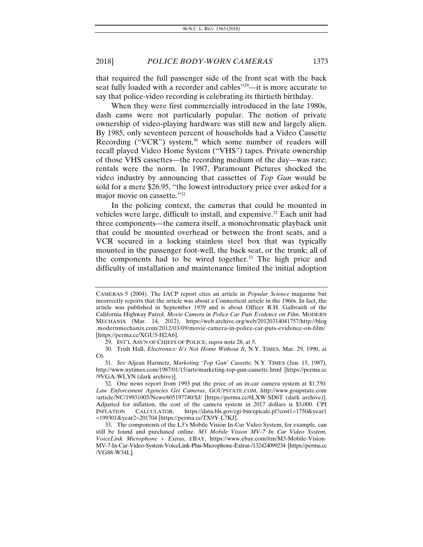that required the full passenger side of the front seat with the back seat fully loaded with a recorder and cables"29—it is more accurate to say that police-video recording is celebrating its thirtieth birthday.

When they were first commercially introduced in the late 1980s, dash cams were not particularly popular. The notion of private ownership of video-playing hardware was still new and largely alien. By 1985, only seventeen percent of households had a Video Cassette Recording ("VCR") system,<sup>30</sup> which some number of readers will recall played Video Home System ("VHS") tapes. Private ownership of those VHS cassettes—the recording medium of the day—was rare; rentals were the norm. In 1987, Paramount Pictures shocked the video industry by announcing that cassettes of *Top Gun* would be sold for a mere \$26.95, "the lowest introductory price ever asked for a major movie on cassette."31

In the policing context, the cameras that could be mounted in vehicles were large, difficult to install, and expensive.<sup>32</sup> Each unit had three components—the camera itself, a monochromatic playback unit that could be mounted overhead or between the front seats, and a VCR secured in a locking stainless steel box that was typically mounted in the passenger foot-well, the back seat, or the trunk; all of the components had to be wired together.<sup>33</sup> The high price and difficulty of installation and maintenance limited the initial adoption

29. INT'L ASS'N OF CHIEFS OF POLICE, *supra* note 28, at 5.

 30. Trish Hall, *Electronics: It's Not Home Without It*, N.Y. TIMES, Mar. 29, 1990, at C6.

31. *See* Aljean Harmetz, *Marketing 'Top Gun' Cassette*, N.Y. TIMES (Jan. 15, 1987), http://www.nytimes.com/1987/01/15/arts/marketing-top-gun-cassette.html [https://perma.cc /9VGA-WLYN (dark archive)].

 32. One news report from 1993 put the price of an in-car camera system at \$1,750. *Law Enforcement Agencies Get Cameras*, GOUPSTATE.COM, http://www.goupstate.com /article/NC/19931005/News/605197740/SJ/ [https://perma.cc/6LXW-SD6T (dark archive)]. Adjusted for inflation, the cost of the camera system in 2017 dollars is \$3,000. CPI INFLATION CALCULATOR, https://data.bls.gov/cgi-bin/cpicalc.pl?cost1=1750&year1 =199301&year2=201704 [https://perma.cc/TX9Y-L7KJ].

 33. The components of the L3's Mobile Vision In-Car Video System, for example, can still be found and purchased online. *M3 Mobile Vision MV-7 In Car Video System, VoiceLink Microphone + Extras*, EBAY, https://www.ebay.com/itm/M3-Mobile-Vision-MV-7-In-Car-Video-System-VoiceLink-Plus-Microphone-Extras-/132424099234 [https://perma.cc /VG88-W34L].

CAMERAS 5 (2004). The IACP report cites an article in *Popular Science* magazine but incorrectly reports that the article was about a Connecticut article in the 1960s. In fact, the article was published in September 1939 and is about Officer R.H. Galbraith of the California Highway Patrol. *Movie Camera in Police Car Puts Evidence on Film*, MODERN MECHANIX (Mar. 14, 2012), https://web.archive.org/web/20120314041757/http://blog .modernmechanix.com/2012/03/09/movie-camera-in-police-car-puts-evidence-on-film/ [https://perma.cc/XGU5-H2A6].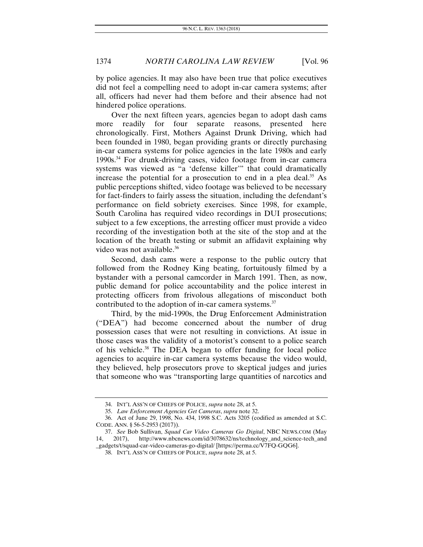by police agencies. It may also have been true that police executives did not feel a compelling need to adopt in-car camera systems; after all, officers had never had them before and their absence had not hindered police operations.

Over the next fifteen years, agencies began to adopt dash cams more readily for four separate reasons, presented here chronologically. First, Mothers Against Drunk Driving, which had been founded in 1980, began providing grants or directly purchasing in-car camera systems for police agencies in the late 1980s and early 1990s.34 For drunk-driving cases, video footage from in-car camera systems was viewed as "a 'defense killer'" that could dramatically increase the potential for a prosecution to end in a plea deal.<sup>35</sup> As public perceptions shifted, video footage was believed to be necessary for fact-finders to fairly assess the situation, including the defendant's performance on field sobriety exercises. Since 1998, for example, South Carolina has required video recordings in DUI prosecutions; subject to a few exceptions, the arresting officer must provide a video recording of the investigation both at the site of the stop and at the location of the breath testing or submit an affidavit explaining why video was not available.<sup>36</sup>

Second, dash cams were a response to the public outcry that followed from the Rodney King beating, fortuitously filmed by a bystander with a personal camcorder in March 1991. Then, as now, public demand for police accountability and the police interest in protecting officers from frivolous allegations of misconduct both contributed to the adoption of in-car camera systems.<sup>37</sup>

Third, by the mid-1990s, the Drug Enforcement Administration ("DEA") had become concerned about the number of drug possession cases that were not resulting in convictions. At issue in those cases was the validity of a motorist's consent to a police search of his vehicle.<sup>38</sup> The DEA began to offer funding for local police agencies to acquire in-car camera systems because the video would, they believed, help prosecutors prove to skeptical judges and juries that someone who was "transporting large quantities of narcotics and

 <sup>34.</sup> INT'L ASS'N OF CHIEFS OF POLICE, *supra* note 28, at 5.

<sup>35.</sup> *Law Enforcement Agencies Get Cameras*, *supra* note 32.

 <sup>36.</sup> Act of June 29, 1998, No. 434, 1998 S.C. Acts 3205 (codified as amended at S.C. CODE. ANN. § 56-5-2953 (2017)).

<sup>37.</sup> *See* Bob Sullivan, *Squad Car Video Cameras Go Digital*, NBC NEWS.COM (May 14, 2017), http://www.nbcnews.com/id/3078632/ns/technology\_and\_science-tech\_and \_gadgets/t/squad-car-video-cameras-go-digital/ [https://perma.cc/V7FQ-GQG6].

 <sup>38.</sup> INT'L ASS'N OF CHIEFS OF POLICE, *supra* note 28, at 5.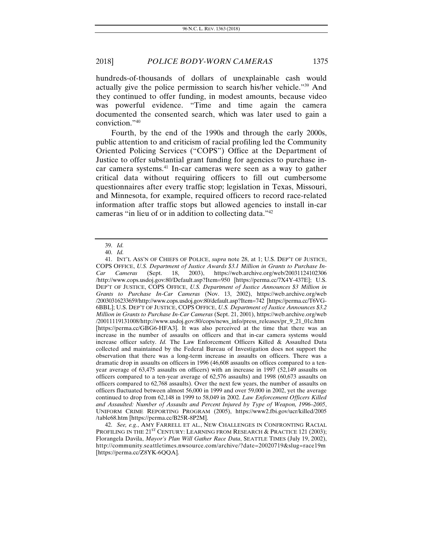hundreds-of-thousands of dollars of unexplainable cash would actually give the police permission to search his/her vehicle."39 And they continued to offer funding, in modest amounts, because video was powerful evidence. "Time and time again the camera documented the consented search, which was later used to gain a conviction."40

Fourth, by the end of the 1990s and through the early 2000s, public attention to and criticism of racial profiling led the Community Oriented Policing Services ("COPS") Office at the Department of Justice to offer substantial grant funding for agencies to purchase incar camera systems.41 In-car cameras were seen as a way to gather critical data without requiring officers to fill out cumbersome questionnaires after every traffic stop; legislation in Texas, Missouri, and Minnesota, for example, required officers to record race-related information after traffic stops but allowed agencies to install in-car cameras "in lieu of or in addition to collecting data."42

<sup>39.</sup> *Id.*

<sup>40.</sup> *Id.*

 <sup>41.</sup> INT'L ASS'N OF CHIEFS OF POLICE, *supra* note 28, at 1; U.S. DEP'T OF JUSTICE, COPS OFFICE, *U.S. Department of Justice Awards \$3.1 Million in Grants to Purchase In-Car Cameras* (Sept. 18, 2003), https://web.archive.org/web/20031124102306 /http://www.cops.usdoj.gov:80/Default.asp?Item=950 [https://perma.cc/7X4Y-437E]; U.S. DEP'T OF JUSTICE, COPS OFFICE, *U.S. Department of Justice Announces \$3 Million in Grants to Purchase In-Car Cameras* (Nov. 13, 2002), https://web.archive.org/web /20030316233659/http://www.cops.usdoj.gov:80/default.asp?Item=742 [https://perma.cc/T6VG-6BBL]; U.S. DEP'T OF JUSTICE, COPS OFFICE, *U.S. Department of Justice Announces \$3.2 Million in Grants to Purchase In-Car Cameras* (Sept. 21, 2001), https://web.archive.org/web /20011119131008/http://www.usdoj.gov:80/cops/news\_info/press\_releases/pr\_9\_21\_01c.htm [https://perma.cc/GBG6-HFA3]. It was also perceived at the time that there was an increase in the number of assaults on officers and that in-car camera systems would increase officer safety. *Id.* The Law Enforcement Officers Killed & Assaulted Data collected and maintained by the Federal Bureau of Investigation does not support the observation that there was a long-term increase in assaults on officers. There was a dramatic drop in assaults on officers in 1996 (46,608 assaults on offices compared to a tenyear average of 63,475 assaults on officers) with an increase in 1997 (52,149 assaults on officers compared to a ten-year average of 62,576 assaults) and 1998 (60,673 assaults on officers compared to 62,768 assaults). Over the next few years, the number of assaults on officers fluctuated between almost 56,000 in 1999 and over 59,000 in 2002, yet the average continued to drop from 62,148 in 1999 to 58,049 in 2002. *Law Enforcement Officers Killed and Assaulted: Number of Assaults and Percent Injured by Type of Weapon, 1996–2005*, UNIFORM CRIME REPORTING PROGRAM (2005), https://www2.fbi.gov/ucr/killed/2005 /table68.htm [https://perma.cc/B25R-8P2M].

<sup>42.</sup> *See, e.g.*, AMY FARRELL ET AL., NEW CHALLENGES IN CONFRONTING RACIAL PROFILING IN THE 21<sup>ST</sup> CENTURY: LEARNING FROM RESEARCH & PRACTICE 121 (2003); Florangela Davila, *Mayor's Plan Will Gather Race Data*, SEATTLE TIMES (July 19, 2002), http://community.seattletimes.nwsource.com/archive/?date=20020719&slug=race19m [https://perma.cc/Z8YK-6QQA].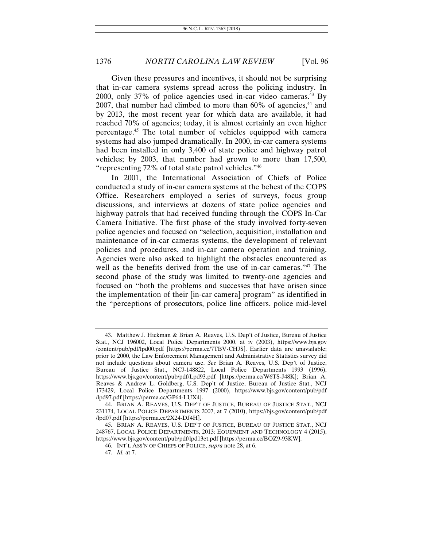Given these pressures and incentives, it should not be surprising that in-car camera systems spread across the policing industry. In 2000, only  $37\%$  of police agencies used in-car video cameras.<sup>43</sup> By 2007, that number had climbed to more than  $60\%$  of agencies,<sup>44</sup> and by 2013, the most recent year for which data are available, it had reached 70% of agencies; today, it is almost certainly an even higher percentage.45 The total number of vehicles equipped with camera systems had also jumped dramatically. In 2000, in-car camera systems had been installed in only 3,400 of state police and highway patrol vehicles; by 2003, that number had grown to more than 17,500, "representing 72% of total state patrol vehicles."46

In 2001, the International Association of Chiefs of Police conducted a study of in-car camera systems at the behest of the COPS Office. Researchers employed a series of surveys, focus group discussions, and interviews at dozens of state police agencies and highway patrols that had received funding through the COPS In-Car Camera Initiative. The first phase of the study involved forty-seven police agencies and focused on "selection, acquisition, installation and maintenance of in-car cameras systems, the development of relevant policies and procedures, and in-car camera operation and training. Agencies were also asked to highlight the obstacles encountered as well as the benefits derived from the use of in-car cameras."<sup>47</sup> The second phase of the study was limited to twenty-one agencies and focused on "both the problems and successes that have arisen since the implementation of their [in-car camera] program" as identified in the "perceptions of prosecutors, police line officers, police mid-level

 <sup>43.</sup> Matthew J. Hickman & Brian A. Reaves, U.S. Dep't of Justice, Bureau of Justice Stat., NCJ 196002, Local Police Departments 2000, at iv (2003), https://www.bjs.gov /content/pub/pdf/lpd00.pdf [https://perma.cc/7TBV-CHJS]. Earlier data are unavailable; prior to 2000, the Law Enforcement Management and Administrative Statistics survey did not include questions about camera use. *See* Brian A. Reaves, U.S. Dep't of Justice, Bureau of Justice Stat., NCJ-148822, Local Police Departments 1993 (1996), https://www.bjs.gov/content/pub/pdf/Lpd93.pdf [https://perma.cc/W6TS-J48K]; Brian A. Reaves & Andrew L. Goldberg, U.S. Dep't of Justice, Bureau of Justice Stat., NCJ 173429, Local Police Departments 1997 (2000), https://www.bjs.gov/content/pub/pdf /lpd97.pdf [https://perma.cc/GP64-LUX4].

 <sup>44.</sup> BRIAN A. REAVES, U.S. DEP'T OF JUSTICE, BUREAU OF JUSTICE STAT., NCJ 231174, LOCAL POLICE DEPARTMENTS 2007, at 7 (2010), https://bjs.gov/content/pub/pdf /lpd07.pdf [https://perma.cc/2X24-DJ4H].

 <sup>45.</sup> BRIAN A. REAVES, U.S. DEP'T OF JUSTICE, BUREAU OF JUSTICE STAT., NCJ 248767, LOCAL POLICE DEPARTMENTS, 2013: EQUIPMENT AND TECHNOLOGY 4 (2015), https://www.bjs.gov/content/pub/pdf/lpd13et.pdf [https://perma.cc/BQZ9-93KW].

 <sup>46.</sup> INT'L ASS'N OF CHIEFS OF POLICE, *supra* note 28, at 6.

 <sup>47.</sup> *Id.* at 7.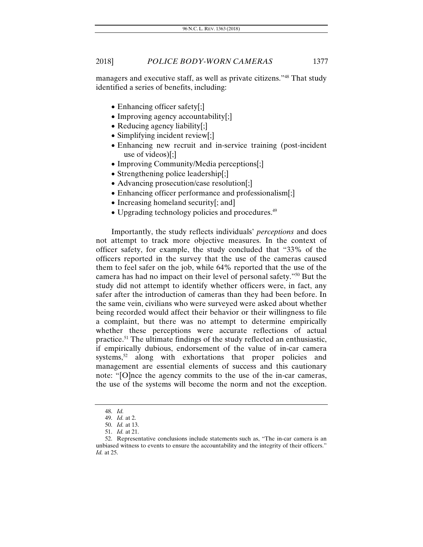managers and executive staff, as well as private citizens."48 That study identified a series of benefits, including:

- Enhancing officer safety[;]
- Improving agency accountability[;]
- Reducing agency liability[;]
- Simplifying incident review[;]
- Enhancing new recruit and in-service training (post-incident use of videos)[;]
- Improving Community/Media perceptions[;]
- Strengthening police leadership[;]
- Advancing prosecution/case resolution[;]
- Enhancing officer performance and professionalism[;]
- Increasing homeland security[; and]
- Upgrading technology policies and procedures.<sup>49</sup>

Importantly, the study reflects individuals' *perceptions* and does not attempt to track more objective measures. In the context of officer safety, for example, the study concluded that "33% of the officers reported in the survey that the use of the cameras caused them to feel safer on the job, while 64% reported that the use of the camera has had no impact on their level of personal safety."50 But the study did not attempt to identify whether officers were, in fact, any safer after the introduction of cameras than they had been before. In the same vein, civilians who were surveyed were asked about whether being recorded would affect their behavior or their willingness to file a complaint, but there was no attempt to determine empirically whether these perceptions were accurate reflections of actual practice.51 The ultimate findings of the study reflected an enthusiastic, if empirically dubious, endorsement of the value of in-car camera systems,<sup>52</sup> along with exhortations that proper policies and management are essential elements of success and this cautionary note: "[O]nce the agency commits to the use of the in-car cameras, the use of the systems will become the norm and not the exception.

 <sup>48.</sup> *Id.*

 <sup>49.</sup> *Id.* at 2.

 <sup>50.</sup> *Id.* at 13.

 <sup>51.</sup> *Id.* at 21.

 <sup>52.</sup> Representative conclusions include statements such as, "The in-car camera is an unbiased witness to events to ensure the accountability and the integrity of their officers." *Id.* at 25.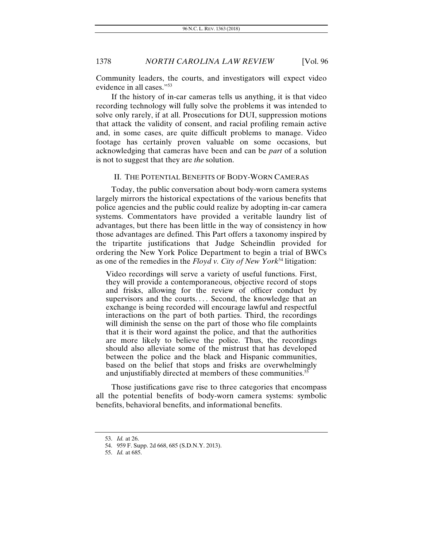Community leaders, the courts, and investigators will expect video evidence in all cases."53

If the history of in-car cameras tells us anything, it is that video recording technology will fully solve the problems it was intended to solve only rarely, if at all. Prosecutions for DUI, suppression motions that attack the validity of consent, and racial profiling remain active and, in some cases, are quite difficult problems to manage. Video footage has certainly proven valuable on some occasions, but acknowledging that cameras have been and can be *part* of a solution is not to suggest that they are *the* solution.

#### II. THE POTENTIAL BENEFITS OF BODY-WORN CAMERAS

Today, the public conversation about body-worn camera systems largely mirrors the historical expectations of the various benefits that police agencies and the public could realize by adopting in-car camera systems. Commentators have provided a veritable laundry list of advantages, but there has been little in the way of consistency in how those advantages are defined. This Part offers a taxonomy inspired by the tripartite justifications that Judge Scheindlin provided for ordering the New York Police Department to begin a trial of BWCs as one of the remedies in the *Floyd v. City of New York*54 litigation:

Video recordings will serve a variety of useful functions. First, they will provide a contemporaneous, objective record of stops and frisks, allowing for the review of officer conduct by supervisors and the courts.... Second, the knowledge that an exchange is being recorded will encourage lawful and respectful interactions on the part of both parties. Third, the recordings will diminish the sense on the part of those who file complaints that it is their word against the police, and that the authorities are more likely to believe the police. Thus, the recordings should also alleviate some of the mistrust that has developed between the police and the black and Hispanic communities, based on the belief that stops and frisks are overwhelmingly and unjustifiably directed at members of these communities.<sup>55</sup>

Those justifications gave rise to three categories that encompass all the potential benefits of body-worn camera systems: symbolic benefits, behavioral benefits, and informational benefits.

 <sup>53.</sup> *Id.* at 26.

 <sup>54. 959</sup> F. Supp. 2d 668, 685 (S.D.N.Y. 2013).

 <sup>55.</sup> *Id.* at 685.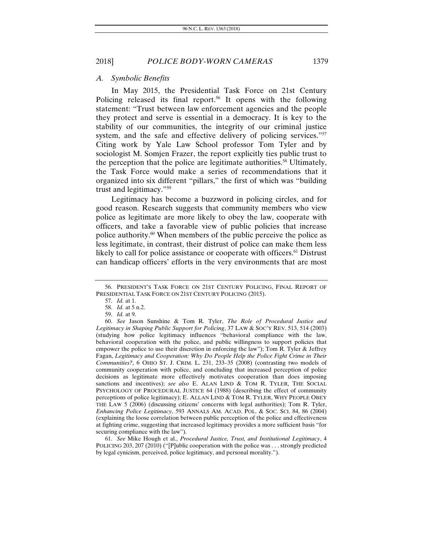#### *A. Symbolic Benefits*

In May 2015, the Presidential Task Force on 21st Century Policing released its final report.<sup>56</sup> It opens with the following statement: "Trust between law enforcement agencies and the people they protect and serve is essential in a democracy. It is key to the stability of our communities, the integrity of our criminal justice system, and the safe and effective delivery of policing services."<sup>57</sup> Citing work by Yale Law School professor Tom Tyler and by sociologist M. Somjen Frazer, the report explicitly ties public trust to the perception that the police are legitimate authorities.<sup>58</sup> Ultimately, the Task Force would make a series of recommendations that it organized into six different "pillars," the first of which was "building trust and legitimacy."59

Legitimacy has become a buzzword in policing circles, and for good reason. Research suggests that community members who view police as legitimate are more likely to obey the law, cooperate with officers, and take a favorable view of public policies that increase police authority.60 When members of the public perceive the police as less legitimate, in contrast, their distrust of police can make them less likely to call for police assistance or cooperate with officers.<sup>61</sup> Distrust can handicap officers' efforts in the very environments that are most

 61. *See* Mike Hough et al., *Procedural Justice, Trust, and Institutional Legitimacy*, 4 POLICING 203, 207 (2010) ("[P]ublic cooperation with the police was . . . strongly predicted by legal cynicism, perceived, police legitimacy, and personal morality.").

 <sup>56.</sup> PRESIDENT'S TASK FORCE ON 21ST CENTURY POLICING, FINAL REPORT OF PRESIDENTIAL TASK FORCE ON 21ST CENTURY POLICING (2015).

<sup>57.</sup> *Id.* at 1.

<sup>58.</sup> *Id.* at 5 n.2.

<sup>59.</sup> *Id.* at 9.

 <sup>60.</sup> *See* Jason Sunshine & Tom R. Tyler, *The Role of Procedural Justice and Legitimacy in Shaping Public Support for Policing*, 37 LAW & SOC'Y REV. 513, 514 (2003) (studying how police legitimacy influences "behavioral compliance with the law, behavioral cooperation with the police, and public willingness to support policies that empower the police to use their discretion in enforcing the law"); Tom R. Tyler & Jeffrey Fagan, *Legitimacy and Cooperation: Why Do People Help the Police Fight Crime in Their Communities?*, 6 OHIO ST. J. CRIM. L. 231, 233–35 (2008) (contrasting two models of community cooperation with police, and concluding that increased perception of police decisions as legitimate more effectively motivates cooperation than does imposing sanctions and incentives); see also E. ALAN LIND & TOM R. TYLER, THE SOCIAL PSYCHOLOGY OF PROCEDURAL JUSTICE 64 (1988) (describing the effect of community perceptions of police legitimacy); E. ALLAN LIND & TOM R. TYLER, WHY PEOPLE OBEY THE LAW 5 (2006) (discussing citizens' concerns with legal authorities); Tom R. Tyler, *Enhancing Police Legitimacy*, 593 ANNALS AM. ACAD. POL. & SOC. SCI. 84, 86 (2004) (explaining the loose correlation between public perception of the police and effectiveness at fighting crime, suggesting that increased legitimacy provides a more sufficient basis "for securing compliance with the law").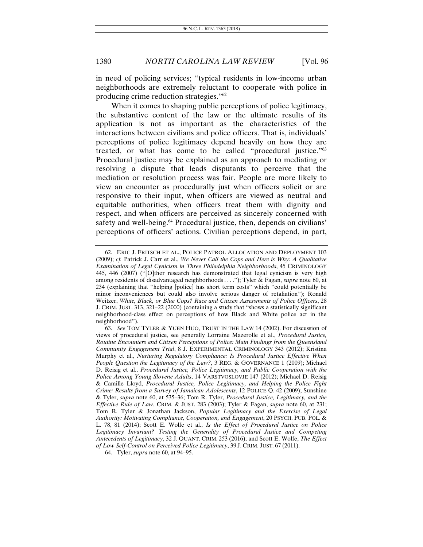in need of policing services; "typical residents in low-income urban neighborhoods are extremely reluctant to cooperate with police in producing crime reduction strategies."62

When it comes to shaping public perceptions of police legitimacy, the substantive content of the law or the ultimate results of its application is not as important as the characteristics of the interactions between civilians and police officers. That is, individuals' perceptions of police legitimacy depend heavily on how they are treated, or what has come to be called "procedural justice."63 Procedural justice may be explained as an approach to mediating or resolving a dispute that leads disputants to perceive that the mediation or resolution process was fair. People are more likely to view an encounter as procedurally just when officers solicit or are responsive to their input, when officers are viewed as neutral and equitable authorities, when officers treat them with dignity and respect, and when officers are perceived as sincerely concerned with safety and well-being.<sup>64</sup> Procedural justice, then, depends on civilians' perceptions of officers' actions. Civilian perceptions depend, in part,

 <sup>62.</sup> ERIC J. FRITSCH ET AL., POLICE PATROL ALLOCATION AND DEPLOYMENT 103 (2009); *cf.* Patrick J. Carr et al., *We Never Call the Cops and Here is Why: A Qualitative Examination of Legal Cynicism in Three Philadelphia Neighborhoods*, 45 CRIMINOLOGY 445, 446 (2007) ("[O]ther research has demonstrated that legal cynicism is very high among residents of disadvantaged neighborhoods . . . ."); Tyler & Fagan, *supra* note 60, at 234 (explaining that "helping [police] has short term costs" which "could potentially be minor inconveniences but could also involve serious danger of retaliation"); Ronald Weitzer, *White, Black, or Blue Cops? Race and Citizen Assessments of Police Officers*, 28 J. CRIM. JUST. 313, 321–22 (2000) (containing a study that "shows a statistically significant neighborhood-class effect on perceptions of how Black and White police act in the neighborhood").

<sup>63.</sup> *See* TOM TYLER & YUEN HUO, TRUST IN THE LAW 14 (2002). For discussion of views of procedural justice, see generally Lorraine Mazerolle et al., *Procedural Justice, Routine Encounters and Citizen Perceptions of Police: Main Findings from the Queensland Community Engagement Trial*, 8 J. EXPERIMENTAL CRIMINOLOGY 343 (2012); Kristina Murphy et al., *Nurturing Regulatory Compliance: Is Procedural Justice Effective When People Question the Legitimacy of the Law?*, 3 REG. & GOVERNANCE 1 (2009); Michael D. Reisig et al., *Procedural Justice, Police Legitimacy, and Public Cooperation with the Police Among Young Slovene Adults*, 14 VARSTVOSLOVJE 147 (2012); Michael D. Reisig & Camille Lloyd, *Procedural Justice, Police Legitimacy, and Helping the Police Fight Crime: Results from a Survey of Jamaican Adolescents*, 12 POLICE Q. 42 (2009); Sunshine & Tyler, *supra* note 60, at 535–36; Tom R. Tyler, *Procedural Justice, Legitimacy, and the Effective Rule of Law*, CRIM. & JUST. 283 (2003); Tyler & Fagan, *supra* note 60, at 231; Tom R. Tyler & Jonathan Jackson, *Popular Legitimacy and the Exercise of Legal Authority: Motivating Compliance, Cooperation, and Engagement*, 20 PSYCH. PUB. POL. & L. 78, 81 (2014); Scott E. Wolfe et al., *Is the Effect of Procedural Justice on Police Legitimacy Invariant? Testing the Generality of Procedural Justice and Competing Antecedents of Legitimacy*, 32 J. QUANT. CRIM. 253 (2016); and Scott E. Wolfe, *The Effect of Low Self-Control on Perceived Police Legitimacy*, 39 J. CRIM. JUST. 67 (2011).

 <sup>64.</sup> Tyler, *supra* note 60, at 94–95.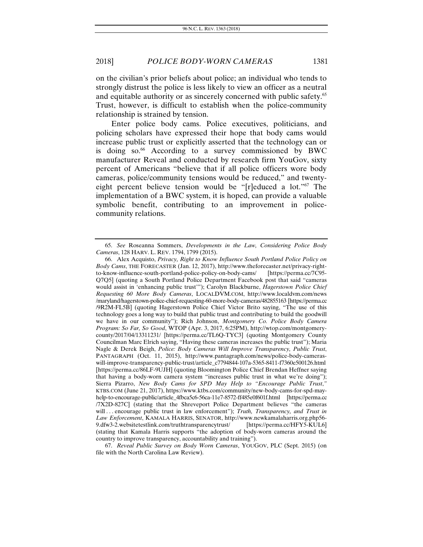on the civilian's prior beliefs about police; an individual who tends to strongly distrust the police is less likely to view an officer as a neutral and equitable authority or as sincerely concerned with public safety.<sup>65</sup> Trust, however, is difficult to establish when the police-community relationship is strained by tension.

Enter police body cams. Police executives, politicians, and policing scholars have expressed their hope that body cams would increase public trust or explicitly asserted that the technology can or is doing so.<sup>66</sup> According to a survey commissioned by BWC manufacturer Reveal and conducted by research firm YouGov, sixty percent of Americans "believe that if all police officers wore body cameras, police/community tensions would be reduced," and twentyeight percent believe tension would be "[r]educed a lot."67 The implementation of a BWC system, it is hoped, can provide a valuable symbolic benefit, contributing to an improvement in policecommunity relations.

 67. *Reveal Public Survey on Body Worn Cameras*, YOUGOV, PLC (Sept. 2015) (on file with the North Carolina Law Review).

<sup>65.</sup> *See* Roseanna Sommers, *Developments in the Law, Considering Police Body Cameras*, 128 HARV. L. REV. 1794, 1799 (2015).

 <sup>66.</sup> Alex Acquisto, *Privacy, Right to Know Influence South Portland Police Policy on Body Cams*, THE FORECASTER (Jan. 12, 2017), http://www.theforecaster.net/privacy-rightto-know-influence-south-portland-police-policy-on-body-cams/ [https://perma.cc/7C95- Q7Q5] (quoting a South Portland Police Department Facebook post that said "cameras would assist in 'enhancing public trust'"); Carolyn Blackburne, *Hagerstown Police Chief Requesting 60 More Body Cameras*, LOCALDVM.COM, http://www.localdvm.com/news /maryland/hagerstown-police-chief-requesting-60-more-body-cameras/482855163 [https://perma.cc /9R2M-FL5B] (quoting Hagerstown Police Chief Victor Brito saying, "The use of this technology goes a long way to build that public trust and contributing to build the goodwill we have in our community"); Rich Johnson, *Montgomery Co. Police Body Camera Program: So Far, So Good*, WTOP (Apr. 3, 2017, 6:25PM), http://wtop.com/montgomerycounty/2017/04/13311231/ [https://perma.cc/TL6Q-TYC3] (quoting Montgomery County Councilman Marc Elrich saying, "Having these cameras increases the public trust"); Maria Nagle & Derek Beigh, *Police: Body Cameras Will Improve Transparency, Public Trust*, PANTAGRAPH (Oct. 11, 2015), http://www.pantagraph.com/news/police-body-cameraswill-improve-transparency-public-trust/article\_c7794844-107a-5365-8411-f7360e500126.html [https://perma.cc/86LF-9UJH] (quoting Bloomington Police Chief Brendan Heffner saying that having a body-worn camera system "increases public trust in what we're doing"); Sierra Pizarro, *New Body Cams for SPD May Help to "Encourage Public Trust*,*"* KTBS.COM (June 21, 2017), https://www.ktbs.com/community/new-body-cams-for-spd-mayhelp-to-encourage-public/article\_4fbca5c6-56ca-11e7-8572-ff485e0f601f.html [https://perma.cc /7X2D-827C] (stating that the Shreveport Police Department believes "the cameras will ... encourage public trust in law enforcement"); *Truth, Transparency, and Trust in Law Enforcement*, KAMALA HARRIS, SENATOR, http://www.newkamalaharris.org.php56- 9.dfw3-2.websitetestlink.com/truthtransparencytrust/ [https://perma.cc/HFY5-KUL6] (stating that Kamala Harris supports "the adoption of body-worn cameras around the country to improve transparency, accountability and training").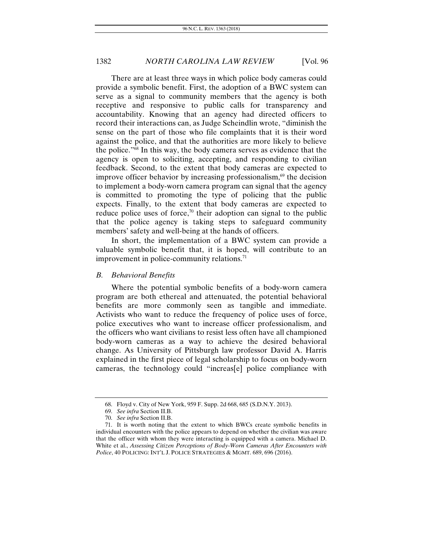There are at least three ways in which police body cameras could provide a symbolic benefit. First, the adoption of a BWC system can serve as a signal to community members that the agency is both receptive and responsive to public calls for transparency and accountability. Knowing that an agency had directed officers to record their interactions can, as Judge Scheindlin wrote, "diminish the sense on the part of those who file complaints that it is their word against the police, and that the authorities are more likely to believe the police."68 In this way, the body camera serves as evidence that the agency is open to soliciting, accepting, and responding to civilian feedback. Second, to the extent that body cameras are expected to improve officer behavior by increasing professionalism, $69$  the decision to implement a body-worn camera program can signal that the agency is committed to promoting the type of policing that the public expects. Finally, to the extent that body cameras are expected to reduce police uses of force, $\pi$ <sup>0</sup> their adoption can signal to the public that the police agency is taking steps to safeguard community members' safety and well-being at the hands of officers.

In short, the implementation of a BWC system can provide a valuable symbolic benefit that, it is hoped, will contribute to an improvement in police-community relations.<sup>71</sup>

#### *B. Behavioral Benefits*

Where the potential symbolic benefits of a body-worn camera program are both ethereal and attenuated, the potential behavioral benefits are more commonly seen as tangible and immediate. Activists who want to reduce the frequency of police uses of force, police executives who want to increase officer professionalism, and the officers who want civilians to resist less often have all championed body-worn cameras as a way to achieve the desired behavioral change. As University of Pittsburgh law professor David A. Harris explained in the first piece of legal scholarship to focus on body-worn cameras, the technology could "increas[e] police compliance with

 <sup>68.</sup> Floyd v. City of New York, 959 F. Supp. 2d 668, 685 (S.D.N.Y. 2013).

<sup>69.</sup> *See infra* Section II.B.

<sup>70.</sup> *See infra* Section II.B.

 <sup>71.</sup> It is worth noting that the extent to which BWCs create symbolic benefits in individual encounters with the police appears to depend on whether the civilian was aware that the officer with whom they were interacting is equipped with a camera. Michael D. White et al., *Assessing Citizen Perceptions of Body-Worn Cameras After Encounters with Police*, 40 POLICING: INT'L J. POLICE STRATEGIES & MGMT. 689, 696 (2016).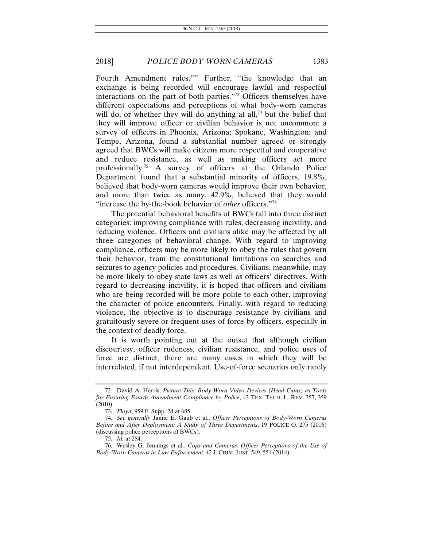Fourth Amendment rules."72 Further, "the knowledge that an exchange is being recorded will encourage lawful and respectful interactions on the part of both parties."73 Officers themselves have different expectations and perceptions of what body-worn cameras will do, or whether they will do anything at all, $74$  but the belief that they will improve officer or civilian behavior is not uncommon: a survey of officers in Phoenix, Arizona; Spokane, Washington; and Tempe, Arizona, found a substantial number agreed or strongly agreed that BWCs will make citizens more respectful and cooperative and reduce resistance, as well as making officers act more professionally.75 A survey of officers at the Orlando Police Department found that a substantial minority of officers, 19.8%, believed that body-worn cameras would improve their own behavior, and more than twice as many, 42.9%, believed that they would "increase the by-the-book behavior of *other* officers."76

The potential behavioral benefits of BWCs fall into three distinct categories: improving compliance with rules, decreasing incivility, and reducing violence. Officers and civilians alike may be affected by all three categories of behavioral change. With regard to improving compliance, officers may be more likely to obey the rules that govern their behavior, from the constitutional limitations on searches and seizures to agency policies and procedures. Civilians, meanwhile, may be more likely to obey state laws as well as officers' directives. With regard to decreasing incivility, it is hoped that officers and civilians who are being recorded will be more polite to each other, improving the character of police encounters. Finally, with regard to reducing violence, the objective is to discourage resistance by civilians and gratuitously severe or frequent uses of force by officers, especially in the context of deadly force.

It is worth pointing out at the outset that although civilian discourtesy, officer rudeness, civilian resistance, and police uses of force are distinct, there are many cases in which they will be interrelated, if not interdependent. Use-of-force scenarios only rarely

 <sup>72.</sup> David A. Harris, *Picture This: Body-Worn Video Devices (Head Cams) as Tools for Ensuring Fourth Amendment Compliance by Police*, 43 TEX. TECH. L. REV. 357, 359 (2010).

 <sup>73.</sup> *Floyd*, 959 F. Supp. 2d at 685.

 <sup>74.</sup> *See generally* Janne E. Gaub et al., *Officer Perceptions of Body-Worn Cameras Before and After Deployment: A Study of Three Departments*, 19 POLICE Q. 275 (2016) (discussing police perceptions of BWCs).

<sup>75.</sup> *Id.* at 284.

 <sup>76.</sup> Wesley G. Jennings et al., *Cops and Cameras: Officer Perceptions of the Use of Body-Worn Cameras in Law Enforcement*, 42 J. CRIM. JUST. 549, 551 (2014).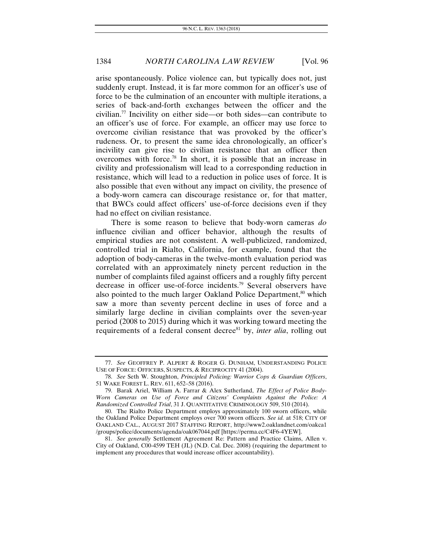arise spontaneously. Police violence can, but typically does not, just suddenly erupt. Instead, it is far more common for an officer's use of force to be the culmination of an encounter with multiple iterations, a series of back-and-forth exchanges between the officer and the civilian.77 Incivility on either side—or both sides—can contribute to an officer's use of force. For example, an officer may use force to overcome civilian resistance that was provoked by the officer's rudeness. Or, to present the same idea chronologically, an officer's incivility can give rise to civilian resistance that an officer then overcomes with force.78 In short, it is possible that an increase in civility and professionalism will lead to a corresponding reduction in resistance, which will lead to a reduction in police uses of force. It is also possible that even without any impact on civility, the presence of a body-worn camera can discourage resistance or, for that matter, that BWCs could affect officers' use-of-force decisions even if they had no effect on civilian resistance.

There is some reason to believe that body-worn cameras *do* influence civilian and officer behavior, although the results of empirical studies are not consistent. A well-publicized, randomized, controlled trial in Rialto, California, for example, found that the adoption of body-cameras in the twelve-month evaluation period was correlated with an approximately ninety percent reduction in the number of complaints filed against officers and a roughly fifty percent decrease in officer use-of-force incidents.79 Several observers have also pointed to the much larger Oakland Police Department,<sup>80</sup> which saw a more than seventy percent decline in uses of force and a similarly large decline in civilian complaints over the seven-year period (2008 to 2015) during which it was working toward meeting the requirements of a federal consent decree<sup>81</sup> by, *inter alia*, rolling out

 <sup>77.</sup> *See* GEOFFREY P. ALPERT & ROGER G. DUNHAM, UNDERSTANDING POLICE USE OF FORCE: OFFICERS, SUSPECTS, & RECIPROCITY 41 (2004).

<sup>78.</sup> *See* Seth W. Stoughton, *Principled Policing: Warrior Cops & Guardian Officers*, 51 WAKE FOREST L. REV. 611, 652–58 (2016).

 <sup>79.</sup> Barak Ariel, William A. Farrar & Alex Sutherland, *The Effect of Police Body-Worn Cameras on Use of Force and Citizens' Complaints Against the Police: A Randomized Controlled Trial*, 31 J. QUANTITATIVE CRIMINOLOGY 509, 510 (2014).

 <sup>80.</sup> The Rialto Police Department employs approximately 100 sworn officers, while the Oakland Police Department employs over 700 sworn officers. *See id.* at 518; CITY OF OAKLAND CAL., AUGUST 2017 STAFFING REPORT, http://www2.oaklandnet.com/oakca1 /groups/police/documents/agenda/oak067044.pdf [https://perma.cc/C4F6-4YEW].

<sup>81.</sup> *See generally* Settlement Agreement Re: Pattern and Practice Claims, Allen v. City of Oakland, C00-4599 TEH (JL) (N.D. Cal. Dec. 2008) (requiring the department to implement any procedures that would increase officer accountability).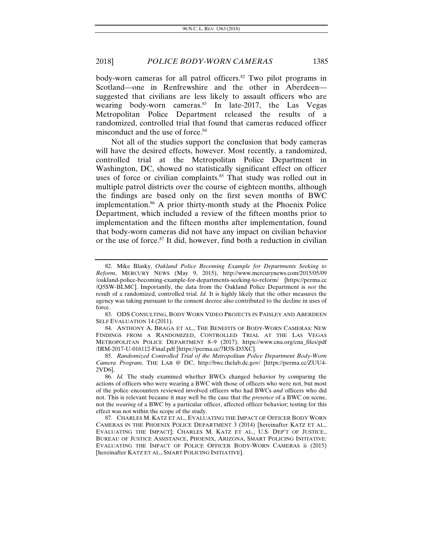body-worn cameras for all patrol officers.<sup>82</sup> Two pilot programs in Scotland—one in Renfrewshire and the other in Aberdeen suggested that civilians are less likely to assault officers who are wearing body-worn cameras.<sup>83</sup> In late-2017, the Las Vegas Metropolitan Police Department released the results of a randomized, controlled trial that found that cameras reduced officer misconduct and the use of force.<sup>84</sup>

Not all of the studies support the conclusion that body cameras will have the desired effects, however. Most recently, a randomized, controlled trial at the Metropolitan Police Department in Washington, DC, showed no statistically significant effect on officer uses of force or civilian complaints.<sup>85</sup> That study was rolled out in multiple patrol districts over the course of eighteen months, although the findings are based only on the first seven months of BWC implementation.86 A prior thirty-month study at the Phoenix Police Department, which included a review of the fifteen months prior to implementation and the fifteen months after implementation, found that body-worn cameras did not have any impact on civilian behavior or the use of force.<sup>87</sup> It did, however, find both a reduction in civilian

 <sup>82.</sup> Mike Blasky, *Oakland Police Becoming Example for Departments Seeking to Reform*, MERCURY NEWS (May 9, 2015), http://www.mercurynews.com/2015/05/09 /oakland-police-becoming-example-for-departments-seeking-to-reform/ [https://perma.cc /Q5SW-BLMC]. Importantly, the data from the Oakland Police Department is *not* the result of a randomized, controlled trial. *Id.* It is highly likely that the other measures the agency was taking pursuant to the consent decree also contributed to the decline in uses of force.

 <sup>83.</sup> ODS CONSULTING, BODY WORN VIDEO PROJECTS IN PAISLEY AND ABERDEEN SELF EVALUATION 14 (2011).

 <sup>84.</sup> ANTHONY A. BRAGA ET AL., THE BENEFITS OF BODY-WORN CAMERAS: NEW FINDINGS FROM A RANDOMIZED, CONTROLLED TRIAL AT THE LAS VEGAS METROPOLITAN POLICE DEPARTMENT 8–9 (2017), https://www.cna.org/cna\_files/pdf /IRM-2017-U-016112-Final.pdf [https://perma.cc/7R5S-D3XC].

<sup>85.</sup> *Randomized Controlled Trial of the Metropolitan Police Department Body-Worn Camera Program*, THE LAB @ DC, http://bwc.thelab.dc.gov/ [https://perma.cc/ZUU4- 2VD6].

<sup>86.</sup> *Id.* The study examined whether BWCs changed behavior by comparing the actions of officers who were wearing a BWC with those of officers who were not, but most of the police encounters reviewed involved officers who had BWCs *and* officers who did not. This is relevant because it may well be the case that the *presence* of a BWC on scene, not the *wearing* of a BWC by a particular officer, affected officer behavior; testing for this effect was not within the scope of the study.

 <sup>87.</sup> CHARLES M. KATZ ET AL., EVALUATING THE IMPACT OF OFFICER BODY WORN CAMERAS IN THE PHOENIX POLICE DEPARTMENT 3 (2014) [hereinafter KATZ ET AL., EVALUATING THE IMPACT]; CHARLES M. KATZ ET AL., U.S. DEP'T OF JUSTICE., BUREAU OF JUSTICE ASSISTANCE, PHOENIX, ARIZONA, SMART POLICING INITIATIVE: EVALUATING THE IMPACT OF POLICE OFFICER BODY-WORN CAMERAS ii (2015) [hereinafter KATZ ET AL., SMART POLICING INITIATIVE].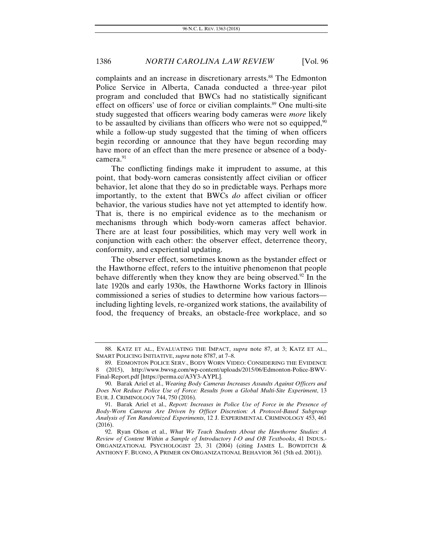complaints and an increase in discretionary arrests.<sup>88</sup> The Edmonton Police Service in Alberta, Canada conducted a three-year pilot program and concluded that BWCs had no statistically significant effect on officers' use of force or civilian complaints.<sup>89</sup> One multi-site study suggested that officers wearing body cameras were *more* likely to be assaulted by civilians than officers who were not so equipped,  $90$ while a follow-up study suggested that the timing of when officers begin recording or announce that they have begun recording may have more of an effect than the mere presence or absence of a bodycamera.<sup>91</sup>

The conflicting findings make it imprudent to assume, at this point, that body-worn cameras consistently affect civilian or officer behavior, let alone that they do so in predictable ways. Perhaps more importantly, to the extent that BWCs *do* affect civilian or officer behavior, the various studies have not yet attempted to identify how. That is, there is no empirical evidence as to the mechanism or mechanisms through which body-worn cameras affect behavior. There are at least four possibilities, which may very well work in conjunction with each other: the observer effect, deterrence theory, conformity, and experiential updating.

The observer effect, sometimes known as the bystander effect or the Hawthorne effect, refers to the intuitive phenomenon that people behave differently when they know they are being observed.<sup>92</sup> In the late 1920s and early 1930s, the Hawthorne Works factory in Illinois commissioned a series of studies to determine how various factors including lighting levels, re-organized work stations, the availability of food, the frequency of breaks, an obstacle-free workplace, and so

 <sup>88.</sup> KATZ ET AL., EVALUATING THE IMPACT, *supra* note 87, at 3; KATZ ET AL., SMART POLICING INITIATIVE, *supra* note 8787, at 7–8.

 <sup>89.</sup> EDMONTON POLICE SERV., BODY WORN VIDEO: CONSIDERING THE EVIDENCE 8 (2015), http://www.bwvsg.com/wp-content/uploads/2015/06/Edmonton-Police-BWV-Final-Report.pdf [https://perma.cc/A3Y3-AYPL].

 <sup>90.</sup> Barak Ariel et al., *Wearing Body Cameras Increases Assaults Against Officers and Does Not Reduce Police Use of Force: Results from a Global Multi-Site Experiment*, 13 EUR. J. CRIMINOLOGY 744, 750 (2016).

 <sup>91.</sup> Barak Ariel et al., *Report: Increases in Police Use of Force in the Presence of Body-Worn Cameras Are Driven by Officer Discretion: A Protocol-Based Subgroup Analysis of Ten Randomized Experiments*, 12 J. EXPERIMENTAL CRIMINOLOGY 453, 461 (2016).

 <sup>92.</sup> Ryan Olson et al., *What We Teach Students About the Hawthorne Studies: A Review of Content Within a Sample of Introductory I-O and OB Textbooks*, 41 INDUS.- ORGANIZATIONAL PSYCHOLOGIST 23, 31 (2004) (citing JAMES L. BOWDITCH & ANTHONY F. BUONO, A PRIMER ON ORGANIZATIONAL BEHAVIOR 361 (5th ed. 2001)).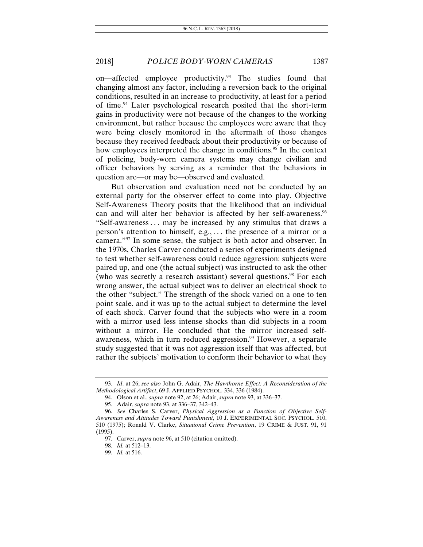on—affected employee productivity.<sup>93</sup> The studies found that changing almost any factor, including a reversion back to the original conditions, resulted in an increase to productivity, at least for a period of time.94 Later psychological research posited that the short-term gains in productivity were not because of the changes to the working environment, but rather because the employees were aware that they were being closely monitored in the aftermath of those changes because they received feedback about their productivity or because of how employees interpreted the change in conditions.<sup>95</sup> In the context of policing, body-worn camera systems may change civilian and officer behaviors by serving as a reminder that the behaviors in question are—or may be—observed and evaluated.

But observation and evaluation need not be conducted by an external party for the observer effect to come into play. Objective Self-Awareness Theory posits that the likelihood that an individual can and will alter her behavior is affected by her self-awareness.<sup>96</sup> "Self-awareness . . . may be increased by any stimulus that draws a person's attention to himself, e.g., . . . the presence of a mirror or a camera."97 In some sense, the subject is both actor and observer. In the 1970s, Charles Carver conducted a series of experiments designed to test whether self-awareness could reduce aggression: subjects were paired up, and one (the actual subject) was instructed to ask the other (who was secretly a research assistant) several questions.<sup>98</sup> For each wrong answer, the actual subject was to deliver an electrical shock to the other "subject." The strength of the shock varied on a one to ten point scale, and it was up to the actual subject to determine the level of each shock. Carver found that the subjects who were in a room with a mirror used less intense shocks than did subjects in a room without a mirror. He concluded that the mirror increased selfawareness, which in turn reduced aggression.<sup>99</sup> However, a separate study suggested that it was not aggression itself that was affected, but rather the subjects' motivation to conform their behavior to what they

<sup>93.</sup> *Id*. at 26; *see also* John G. Adair, *The Hawthorne Effect: A Reconsideration of the Methodological Artifact*, 69 J. APPLIED PSYCHOL. 334, 336 (1984).

 <sup>94.</sup> Olson et al., *supra* note 92, at 26; Adair, *supra* note 93, at 336–37.

 <sup>95.</sup> Adair, *supra* note 93, at 336–37, 342–43.

<sup>96.</sup> *See* Charles S. Carver, *Physical Aggression as a Function of Objective Self-Awareness and Attitudes Toward Punishment*, 10 J. EXPERIMENTAL SOC. PSYCHOL. 510, 510 (1975); Ronald V. Clarke, *Situational Crime Prevention*, 19 CRIME & JUST. 91, 91 (1995).

 <sup>97.</sup> Carver, *supra* note 96, at 510 (citation omitted).

<sup>98.</sup> *Id.* at 512–13.

<sup>99.</sup> *Id.* at 516.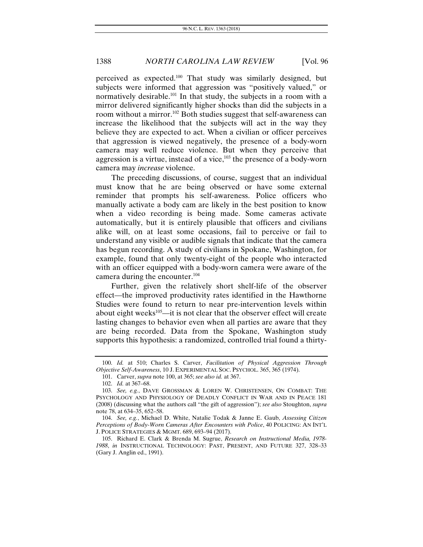perceived as expected.100 That study was similarly designed, but subjects were informed that aggression was "positively valued," or normatively desirable.<sup>101</sup> In that study, the subjects in a room with a mirror delivered significantly higher shocks than did the subjects in a room without a mirror.<sup>102</sup> Both studies suggest that self-awareness can increase the likelihood that the subjects will act in the way they believe they are expected to act. When a civilian or officer perceives that aggression is viewed negatively, the presence of a body-worn camera may well reduce violence. But when they perceive that aggression is a virtue, instead of a vice, $103$  the presence of a body-worn camera may *increase* violence.

The preceding discussions, of course, suggest that an individual must know that he are being observed or have some external reminder that prompts his self-awareness. Police officers who manually activate a body cam are likely in the best position to know when a video recording is being made. Some cameras activate automatically, but it is entirely plausible that officers and civilians alike will, on at least some occasions, fail to perceive or fail to understand any visible or audible signals that indicate that the camera has begun recording. A study of civilians in Spokane, Washington, for example, found that only twenty-eight of the people who interacted with an officer equipped with a body-worn camera were aware of the camera during the encounter.<sup>104</sup>

Further, given the relatively short shelf-life of the observer effect—the improved productivity rates identified in the Hawthorne Studies were found to return to near pre-intervention levels within about eight weeks $105$ —it is not clear that the observer effect will create lasting changes to behavior even when all parties are aware that they are being recorded. Data from the Spokane, Washington study supports this hypothesis: a randomized, controlled trial found a thirty-

<sup>100.</sup> *Id.* at 510; Charles S. Carver, *Facilitation of Physical Aggression Through Objective Self-Awareness*, 10 J. EXPERIMENTAL SOC. PSYCHOL. 365, 365 (1974).

<sup>101.</sup> Carver, *supra* note 100, at 365; *see also id.* at 367.

<sup>102.</sup> *Id.* at 367–68.

<sup>103.</sup> *See, e.g.*, DAVE GROSSMAN & LOREN W. CHRISTENSEN, ON COMBAT: THE PSYCHOLOGY AND PHYSIOLOGY OF DEADLY CONFLICT IN WAR AND IN PEACE 181 (2008) (discussing what the authors call "the gift of aggression"); *see also* Stoughton, *supra*  note 78, at 634–35, 652–58.

<sup>104.</sup> *See, e.g.*, Michael D. White, Natalie Todak & Janne E. Gaub, *Assessing Citizen Perceptions of Body-Worn Cameras After Encounters with Police*, 40 POLICING: AN INT'L J. POLICE STRATEGIES & MGMT. 689, 693–94 (2017).

 <sup>105.</sup> Richard E. Clark & Brenda M. Sugrue, *Research on Instructional Media, 1978- 1988*, *in* INSTRUCTIONAL TECHNOLOGY: PAST, PRESENT, AND FUTURE 327, 328–33 (Gary J. Anglin ed., 1991).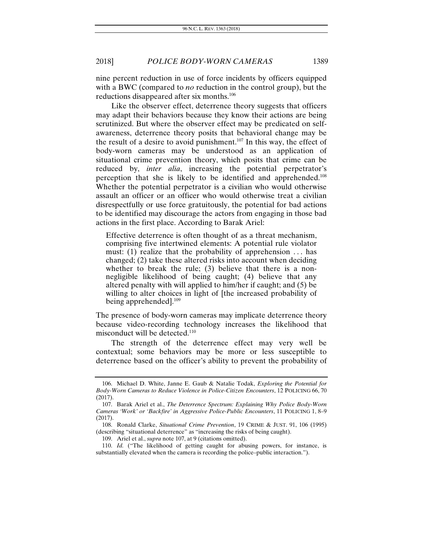nine percent reduction in use of force incidents by officers equipped with a BWC (compared to *no* reduction in the control group), but the reductions disappeared after six months.106

Like the observer effect, deterrence theory suggests that officers may adapt their behaviors because they know their actions are being scrutinized. But where the observer effect may be predicated on selfawareness, deterrence theory posits that behavioral change may be the result of a desire to avoid punishment.107 In this way, the effect of body-worn cameras may be understood as an application of situational crime prevention theory, which posits that crime can be reduced by, *inter alia*, increasing the potential perpetrator's perception that she is likely to be identified and apprehended.108 Whether the potential perpetrator is a civilian who would otherwise assault an officer or an officer who would otherwise treat a civilian disrespectfully or use force gratuitously, the potential for bad actions to be identified may discourage the actors from engaging in those bad actions in the first place. According to Barak Ariel:

Effective deterrence is often thought of as a threat mechanism, comprising five intertwined elements: A potential rule violator must: (1) realize that the probability of apprehension  $\dots$  has changed; (2) take these altered risks into account when deciding whether to break the rule; (3) believe that there is a nonnegligible likelihood of being caught; (4) believe that any altered penalty with will applied to him/her if caught; and (5) be willing to alter choices in light of [the increased probability of being apprehended].<sup>109</sup>

The presence of body-worn cameras may implicate deterrence theory because video-recording technology increases the likelihood that misconduct will be detected.110

The strength of the deterrence effect may very well be contextual; some behaviors may be more or less susceptible to deterrence based on the officer's ability to prevent the probability of

 <sup>106.</sup> Michael D. White, Janne E. Gaub & Natalie Todak, *Exploring the Potential for Body-Worn Cameras to Reduce Violence in Police-Citizen Encounters*, 12 POLICING 66, 70 (2017).

 <sup>107.</sup> Barak Ariel et al., *The Deterrence Spectrum: Explaining Why Police Body-Worn Cameras 'Work' or 'Backfire' in Aggressive Police-Public Encounters*, 11 POLICING 1, 8–9 (2017).

<sup>108.</sup> Ronald Clarke, *Situational Crime Prevention*, 19 CRIME & JUST. 91, 106 (1995) (describing "situational deterrence" as "increasing the risks of being caught).

<sup>109.</sup> Ariel et al., *supra* note 107, at 9 (citations omitted).

<sup>110.</sup> *Id.* ("The likelihood of getting caught for abusing powers, for instance, is substantially elevated when the camera is recording the police–public interaction.").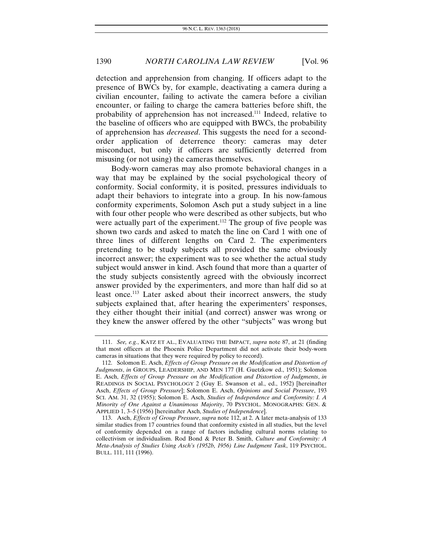detection and apprehension from changing. If officers adapt to the presence of BWCs by, for example, deactivating a camera during a civilian encounter, failing to activate the camera before a civilian encounter, or failing to charge the camera batteries before shift, the probability of apprehension has not increased.111 Indeed, relative to the baseline of officers who are equipped with BWCs, the probability of apprehension has *decreased*. This suggests the need for a secondorder application of deterrence theory: cameras may deter misconduct, but only if officers are sufficiently deterred from misusing (or not using) the cameras themselves.

Body-worn cameras may also promote behavioral changes in a way that may be explained by the social psychological theory of conformity. Social conformity, it is posited, pressures individuals to adapt their behaviors to integrate into a group. In his now-famous conformity experiments, Solomon Asch put a study subject in a line with four other people who were described as other subjects, but who were actually part of the experiment.<sup>112</sup> The group of five people was shown two cards and asked to match the line on Card 1 with one of three lines of different lengths on Card 2. The experimenters pretending to be study subjects all provided the same obviously incorrect answer; the experiment was to see whether the actual study subject would answer in kind. Asch found that more than a quarter of the study subjects consistently agreed with the obviously incorrect answer provided by the experimenters, and more than half did so at least once.<sup>113</sup> Later asked about their incorrect answers, the study subjects explained that, after hearing the experimenters' responses, they either thought their initial (and correct) answer was wrong or they knew the answer offered by the other "subjects" was wrong but

<sup>111.</sup> *See, e.g.*, KATZ ET AL., EVALUATING THE IMPACT, *supra* note 87, at 21 (finding that most officers at the Phoenix Police Department did not activate their body-worn cameras in situations that they were required by policy to record).

 <sup>112.</sup> Solomon E. Asch, *Effects of Group Pressure on the Modification and Distortion of Judgments*, *in* GROUPS, LEADERSHIP, AND MEN 177 (H. Guetzkow ed., 1951); Solomon E. Asch, *Effects of Group Pressure on the Modification and Distortion of Judgments*, *in* READINGS IN SOCIAL PSYCHOLOGY 2 (Guy E. Swanson et al., ed., 1952) [hereinafter Asch, *Effects of Group Pressure*]; Solomon E. Asch, *Opinions and Social Pressure*, 193 SCI. AM. 31, 32 (1955); Solomon E. Asch, *Studies of Independence and Conformity: I. A Minority of One Against a Unanimous Majority*, 70 PSYCHOL. MONOGRAPHS: GEN. & APPLIED 1, 3–5 (1956) [hereinafter Asch, *Studies of Independence*].

<sup>113.</sup> Asch, *Effects of Group Pressure*, *supra* note 112, at 2. A later meta-analysis of 133 similar studies from 17 countries found that conformity existed in all studies, but the level of conformity depended on a range of factors including cultural norms relating to collectivism or individualism. Rod Bond & Peter B. Smith, *Culture and Conformity: A Meta-Analysis of Studies Using Asch's (1952b, 1956) Line Judgment Task*, 119 PSYCHOL. BULL. 111, 111 (1996).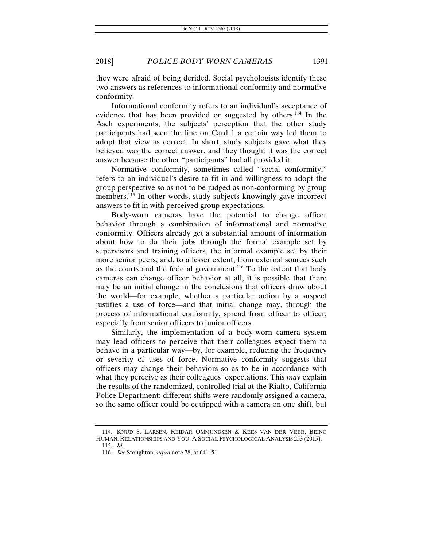they were afraid of being derided. Social psychologists identify these two answers as references to informational conformity and normative conformity.

Informational conformity refers to an individual's acceptance of evidence that has been provided or suggested by others.<sup>114</sup> In the Asch experiments, the subjects' perception that the other study participants had seen the line on Card 1 a certain way led them to adopt that view as correct. In short, study subjects gave what they believed was the correct answer, and they thought it was the correct answer because the other "participants" had all provided it.

Normative conformity, sometimes called "social conformity," refers to an individual's desire to fit in and willingness to adopt the group perspective so as not to be judged as non-conforming by group members.115 In other words, study subjects knowingly gave incorrect answers to fit in with perceived group expectations.

Body-worn cameras have the potential to change officer behavior through a combination of informational and normative conformity. Officers already get a substantial amount of information about how to do their jobs through the formal example set by supervisors and training officers, the informal example set by their more senior peers, and, to a lesser extent, from external sources such as the courts and the federal government.<sup>116</sup> To the extent that body cameras can change officer behavior at all, it is possible that there may be an initial change in the conclusions that officers draw about the world—for example, whether a particular action by a suspect justifies a use of force—and that initial change may, through the process of informational conformity, spread from officer to officer, especially from senior officers to junior officers.

Similarly, the implementation of a body-worn camera system may lead officers to perceive that their colleagues expect them to behave in a particular way—by, for example, reducing the frequency or severity of uses of force. Normative conformity suggests that officers may change their behaviors so as to be in accordance with what they perceive as their colleagues' expectations. This *may* explain the results of the randomized, controlled trial at the Rialto, California Police Department: different shifts were randomly assigned a camera, so the same officer could be equipped with a camera on one shift, but

 <sup>114.</sup> KNUD S. LARSEN, REIDAR OMMUNDSEN & KEES VAN DER VEER, BEING HUMAN: RELATIONSHIPS AND YOU: A SOCIAL PSYCHOLOGICAL ANALYSIS 253 (2015).

<sup>115.</sup> *Id*.

<sup>116.</sup> *See* Stoughton, *supra* note 78, at 641–51.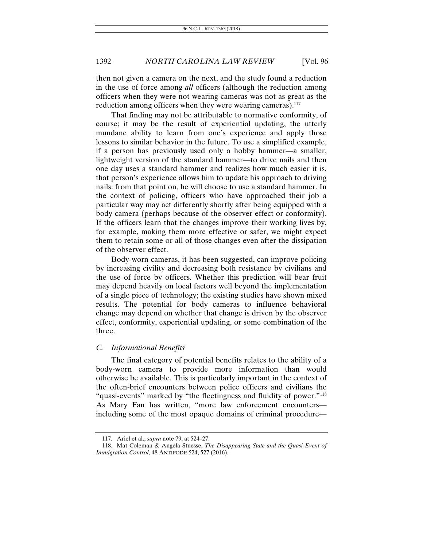then not given a camera on the next, and the study found a reduction in the use of force among *all* officers (although the reduction among officers when they were not wearing cameras was not as great as the reduction among officers when they were wearing cameras).<sup>117</sup>

That finding may not be attributable to normative conformity, of course; it may be the result of experiential updating, the utterly mundane ability to learn from one's experience and apply those lessons to similar behavior in the future. To use a simplified example, if a person has previously used only a hobby hammer—a smaller, lightweight version of the standard hammer—to drive nails and then one day uses a standard hammer and realizes how much easier it is, that person's experience allows him to update his approach to driving nails: from that point on, he will choose to use a standard hammer. In the context of policing, officers who have approached their job a particular way may act differently shortly after being equipped with a body camera (perhaps because of the observer effect or conformity). If the officers learn that the changes improve their working lives by, for example, making them more effective or safer, we might expect them to retain some or all of those changes even after the dissipation of the observer effect.

Body-worn cameras, it has been suggested, can improve policing by increasing civility and decreasing both resistance by civilians and the use of force by officers. Whether this prediction will bear fruit may depend heavily on local factors well beyond the implementation of a single piece of technology; the existing studies have shown mixed results. The potential for body cameras to influence behavioral change may depend on whether that change is driven by the observer effect, conformity, experiential updating, or some combination of the three.

#### *C. Informational Benefits*

The final category of potential benefits relates to the ability of a body-worn camera to provide more information than would otherwise be available. This is particularly important in the context of the often-brief encounters between police officers and civilians the "quasi-events" marked by "the fleetingness and fluidity of power."<sup>118</sup> As Mary Fan has written, "more law enforcement encounters including some of the most opaque domains of criminal procedure—

 <sup>117.</sup> Ariel et al., *supra* note 79, at 524–27.

 <sup>118.</sup> Mat Coleman & Angela Stuesse, *The Disappearing State and the Quasi-Event of Immigration Control*, 48 ANTIPODE 524, 527 (2016).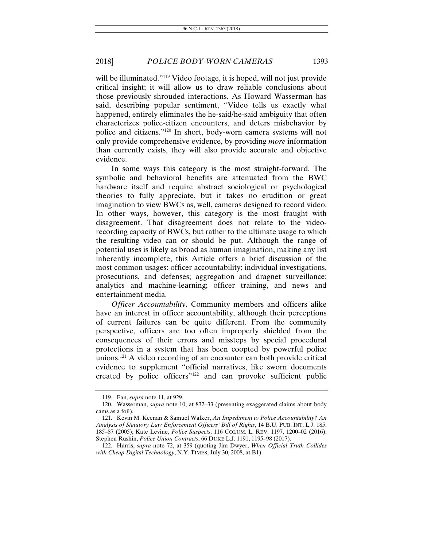will be illuminated."<sup>119</sup> Video footage, it is hoped, will not just provide critical insight; it will allow us to draw reliable conclusions about those previously shrouded interactions. As Howard Wasserman has said, describing popular sentiment, "Video tells us exactly what happened, entirely eliminates the he-said/he-said ambiguity that often characterizes police-citizen encounters, and deters misbehavior by police and citizens."120 In short, body-worn camera systems will not only provide comprehensive evidence, by providing *more* information than currently exists, they will also provide accurate and objective evidence.

In some ways this category is the most straight-forward. The symbolic and behavioral benefits are attenuated from the BWC hardware itself and require abstract sociological or psychological theories to fully appreciate, but it takes no erudition or great imagination to view BWCs as, well, cameras designed to record video. In other ways, however, this category is the most fraught with disagreement. That disagreement does not relate to the videorecording capacity of BWCs, but rather to the ultimate usage to which the resulting video can or should be put. Although the range of potential uses is likely as broad as human imagination, making any list inherently incomplete, this Article offers a brief discussion of the most common usages: officer accountability; individual investigations, prosecutions, and defenses; aggregation and dragnet surveillance; analytics and machine-learning; officer training, and news and entertainment media.

*Officer Accountability*. Community members and officers alike have an interest in officer accountability, although their perceptions of current failures can be quite different. From the community perspective, officers are too often improperly shielded from the consequences of their errors and missteps by special procedural protections in a system that has been coopted by powerful police unions.121 A video recording of an encounter can both provide critical evidence to supplement "official narratives, like sworn documents created by police officers"122 and can provoke sufficient public

 <sup>119.</sup> Fan, *supra* note 11, at 929.

 <sup>120.</sup> Wasserman, *supra* note 10, at 832–33 (presenting exaggerated claims about body cams as a foil).

 <sup>121.</sup> Kevin M. Keenan & Samuel Walker, *An Impediment to Police Accountability? An Analysis of Statutory Law Enforcement Officers' Bill of Rights*, 14 B.U. PUB. INT. L.J. 185, 185–87 (2005); Kate Levine, *Police Suspects*, 116 COLUM. L. REV. 1197, 1200–02 (2016); Stephen Rushin, *Police Union Contracts*, 66 DUKE L.J. 1191, 1195–98 (2017).

 <sup>122.</sup> Harris, *supra* note 72, at 359 (quoting Jim Dwyer, *When Official Truth Collides with Cheap Digital Technology*, N.Y. TIMES, July 30, 2008, at B1).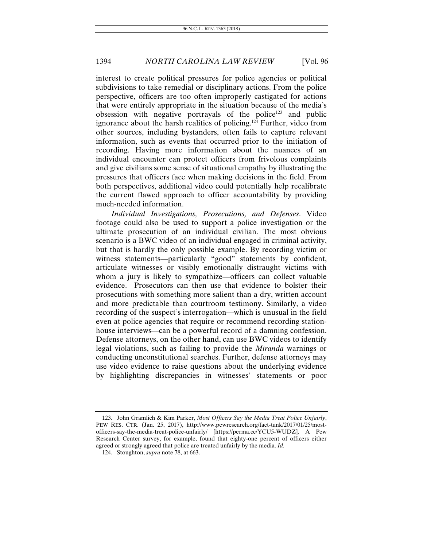interest to create political pressures for police agencies or political subdivisions to take remedial or disciplinary actions. From the police perspective, officers are too often improperly castigated for actions that were entirely appropriate in the situation because of the media's obsession with negative portrayals of the police<sup>123</sup> and public ignorance about the harsh realities of policing.<sup>124</sup> Further, video from other sources, including bystanders, often fails to capture relevant information, such as events that occurred prior to the initiation of recording. Having more information about the nuances of an individual encounter can protect officers from frivolous complaints and give civilians some sense of situational empathy by illustrating the pressures that officers face when making decisions in the field. From both perspectives, additional video could potentially help recalibrate the current flawed approach to officer accountability by providing much-needed information.

*Individual Investigations, Prosecutions, and Defenses*. Video footage could also be used to support a police investigation or the ultimate prosecution of an individual civilian. The most obvious scenario is a BWC video of an individual engaged in criminal activity, but that is hardly the only possible example. By recording victim or witness statements—particularly "good" statements by confident, articulate witnesses or visibly emotionally distraught victims with whom a jury is likely to sympathize—officers can collect valuable evidence. Prosecutors can then use that evidence to bolster their prosecutions with something more salient than a dry, written account and more predictable than courtroom testimony. Similarly, a video recording of the suspect's interrogation—which is unusual in the field even at police agencies that require or recommend recording stationhouse interviews—can be a powerful record of a damning confession. Defense attorneys, on the other hand, can use BWC videos to identify legal violations, such as failing to provide the *Miranda* warnings or conducting unconstitutional searches. Further, defense attorneys may use video evidence to raise questions about the underlying evidence by highlighting discrepancies in witnesses' statements or poor

 <sup>123.</sup> John Gramlich & Kim Parker, *Most Officers Say the Media Treat Police Unfairly*, PEW RES. CTR. (Jan. 25, 2017), http://www.pewresearch.org/fact-tank/2017/01/25/mostofficers-say-the-media-treat-police-unfairly/ [https://perma.cc/YCU5-WUDZ]. A Pew Research Center survey, for example, found that eighty-one percent of officers either agreed or strongly agreed that police are treated unfairly by the media. *Id.*

 <sup>124.</sup> Stoughton, *supra* note 78, at 663.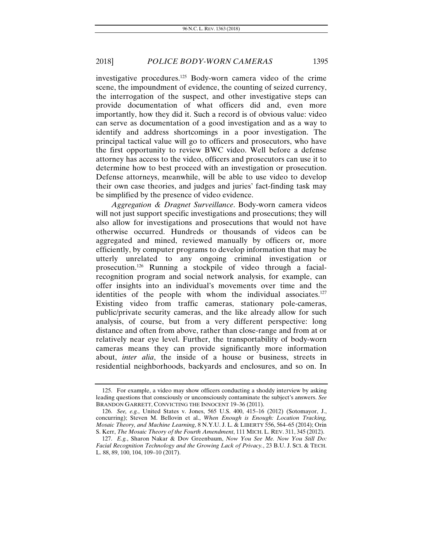investigative procedures.125 Body-worn camera video of the crime scene, the impoundment of evidence, the counting of seized currency, the interrogation of the suspect, and other investigative steps can provide documentation of what officers did and, even more importantly, how they did it. Such a record is of obvious value: video can serve as documentation of a good investigation and as a way to identify and address shortcomings in a poor investigation. The principal tactical value will go to officers and prosecutors, who have the first opportunity to review BWC video. Well before a defense attorney has access to the video, officers and prosecutors can use it to determine how to best proceed with an investigation or prosecution. Defense attorneys, meanwhile, will be able to use video to develop their own case theories, and judges and juries' fact-finding task may be simplified by the presence of video evidence.

*Aggregation & Dragnet Surveillance*. Body-worn camera videos will not just support specific investigations and prosecutions; they will also allow for investigations and prosecutions that would not have otherwise occurred. Hundreds or thousands of videos can be aggregated and mined, reviewed manually by officers or, more efficiently, by computer programs to develop information that may be utterly unrelated to any ongoing criminal investigation or prosecution.126 Running a stockpile of video through a facialrecognition program and social network analysis, for example, can offer insights into an individual's movements over time and the identities of the people with whom the individual associates.<sup>127</sup> Existing video from traffic cameras, stationary pole-cameras, public/private security cameras, and the like already allow for such analysis, of course, but from a very different perspective: long distance and often from above, rather than close-range and from at or relatively near eye level. Further, the transportability of body-worn cameras means they can provide significantly more information about, *inter alia*, the inside of a house or business, streets in residential neighborhoods, backyards and enclosures, and so on. In

<sup>125.</sup> For example, a video may show officers conducting a shoddy interview by asking leading questions that consciously or unconsciously contaminate the subject's answers. *See* BRANDON GARRETT, CONVICTING THE INNOCENT 19–36 (2011).

<sup>126.</sup> *See, e.g.*, United States v. Jones, 565 U.S. 400, 415–16 (2012) (Sotomayor, J., concurring); Steven M. Bellovin et al., *When Enough is Enough: Location Tracking, Mosaic Theory, and Machine Learning*, 8 N.Y.U. J. L. & LIBERTY 556, 564–65 (2014); Orin S. Kerr, *The Mosaic Theory of the Fourth Amendment*, 111 MICH. L. REV. 311, 345 (2012).

<sup>127.</sup> *E.g.*, Sharon Nakar & Dov Greenbaum, *Now You See Me. Now You Still Do: Facial Recognition Technology and the Growing Lack of Privacy.*, 23 B.U. J. SCI. & TECH. L. 88, 89, 100, 104, 109–10 (2017).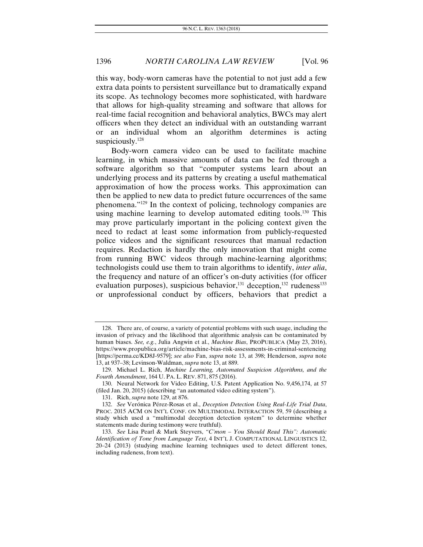this way, body-worn cameras have the potential to not just add a few extra data points to persistent surveillance but to dramatically expand its scope. As technology becomes more sophisticated, with hardware that allows for high-quality streaming and software that allows for real-time facial recognition and behavioral analytics, BWCs may alert officers when they detect an individual with an outstanding warrant or an individual whom an algorithm determines is acting suspiciously.<sup>128</sup>

Body-worn camera video can be used to facilitate machine learning, in which massive amounts of data can be fed through a software algorithm so that "computer systems learn about an underlying process and its patterns by creating a useful mathematical approximation of how the process works. This approximation can then be applied to new data to predict future occurrences of the same phenomena."129 In the context of policing, technology companies are using machine learning to develop automated editing tools.<sup>130</sup> This may prove particularly important in the policing context given the need to redact at least some information from publicly-requested police videos and the significant resources that manual redaction requires. Redaction is hardly the only innovation that might come from running BWC videos through machine-learning algorithms; technologists could use them to train algorithms to identify, *inter alia*, the frequency and nature of an officer's on-duty activities (for officer evaluation purposes), suspicious behavior, $^{131}$  deception, $^{132}$  rudeness $^{133}$ or unprofessional conduct by officers, behaviors that predict a

 <sup>128.</sup> There are, of course, a variety of potential problems with such usage, including the invasion of privacy and the likelihood that algorithmic analysis can be contaminated by human biases. *See, e.g.*, Julia Angwin et al., *Machine Bias*, PROPUBLICA (May 23, 2016), https://www.propublica.org/article/machine-bias-risk-assessments-in-criminal-sentencing [https://perma.cc/KD8J-9579]; *see also* Fan, *supra* note 13, at 398; Henderson, *supra* note 13, at 937–38; Levinson-Waldman, *supra* note 13, at 889.

 <sup>129.</sup> Michael L. Rich, *Machine Learning, Automated Suspicion Algorithms, and the Fourth Amendment*, 164 U. PA. L. REV. 871, 875 (2016).

 <sup>130.</sup> Neural Network for Video Editing, U.S. Patent Application No. 9,456,174, at 57 (filed Jan. 20, 2015) (describing "an automated video editing system").

 <sup>131.</sup> Rich, *supra* note 129, at 876.

<sup>132.</sup> *See* Verónica Pérez-Rosas et al., *Deception Detection Using Real-Life Trial Data*, PROC. 2015 ACM ON INT'L CONF. ON MULTIMODAL INTERACTION 59, 59 (describing a study which used a "multimodal deception detection system" to determine whether statements made during testimony were truthful).

<sup>133.</sup> *See* Lisa Pearl & Mark Steyvers, *"C'mon – You Should Read This": Automatic Identification of Tone from Language Text*, 4 INT'L J. COMPUTATIONAL LINGUISTICS 12, 20–24 (2013) (studying machine learning techniques used to detect different tones, including rudeness, from text).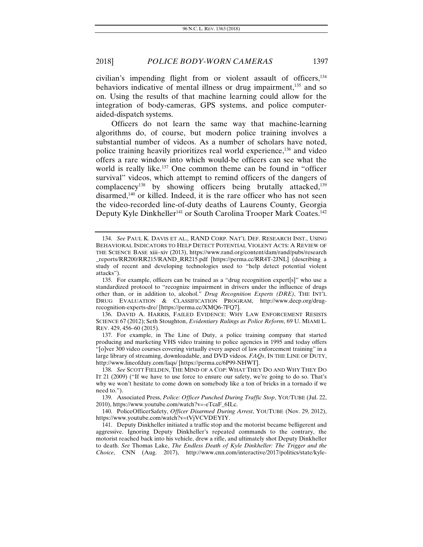civilian's impending flight from or violent assault of officers,134 behaviors indicative of mental illness or drug impairment,<sup>135</sup> and so on. Using the results of that machine learning could allow for the integration of body-cameras, GPS systems, and police computeraided-dispatch systems.

Officers do not learn the same way that machine-learning algorithms do, of course, but modern police training involves a substantial number of videos. As a number of scholars have noted, police training heavily prioritizes real world experience,136 and video offers a rare window into which would-be officers can see what the world is really like.<sup>137</sup> One common theme can be found in "officer survival" videos, which attempt to remind officers of the dangers of complacency<sup>138</sup> by showing officers being brutally attacked,<sup>139</sup> disarmed,<sup>140</sup> or killed. Indeed, it is the rare officer who has not seen the video-recorded line-of-duty deaths of Laurens County, Georgia Deputy Kyle Dinkheller<sup>141</sup> or South Carolina Trooper Mark Coates.<sup>142</sup>

<sup>134.</sup> *See* PAUL K. DAVIS ET AL., RAND CORP. NAT'L DEF. RESEARCH INST., USING BEHAVIORAL INDICATORS TO HELP DETECT POTENTIAL VIOLENT ACTS: A REVIEW OF THE SCIENCE BASE xiii–xiv (2013), https://www.rand.org/content/dam/rand/pubs/research \_reports/RR200/RR215/RAND\_RR215.pdf [https://perma.cc/RR4T-2JNL] (describing a study of recent and developing technologies used to "help detect potential violent attacks").

 <sup>135.</sup> For example, officers can be trained as a "drug recognition expert[s]" who use a standardized protocol to "recognize impairment in drivers under the influence of drugs other than, or in addition to, alcohol." *Drug Recognition Experts (DRE)*, THE INT'L DRUG EVALUATION & CLASSIFICATION PROGRAM, http://www.decp.org/drugrecognition-experts-dre/ [https://perma.cc/XMQ6-7FQ7].

 <sup>136.</sup> DAVID A. HARRIS, FAILED EVIDENCE: WHY LAW ENFORCEMENT RESISTS SCIENCE 67 (2012); Seth Stoughton, *Evidentiary Rulings as Police Reform*, 69 U. MIAMI L. REV. 429, 456–60 (2015).

 <sup>137.</sup> For example, in The Line of Duty, a police training company that started producing and marketing VHS video training to police agencies in 1995 and today offers "[o]ver 300 video courses covering virtually every aspect of law enforcement training" in a large library of streaming, downloadable, and DVD videos. *FAQs*, IN THE LINE OF DUTY, http://www.lineofduty.com/faqs/ [https://perma.cc/6P99-NHWT].

 <sup>138.</sup> *See* SCOTT FIELDEN, THE MIND OF A COP: WHAT THEY DO AND WHY THEY DO IT 21 (2009) ("If we have to use force to ensure our safety, we're going to do so. That's why we won't hesitate to come down on somebody like a ton of bricks in a tornado if we need to.").

 <sup>139.</sup> Associated Press, *Police: Officer Punched During Traffic Stop*, YOUTUBE (Jul. 22, 2010), https://www.youtube.com/watch?v=-eTcaF\_6ILc.

 <sup>140.</sup> PoliceOfficerSafety, *Officer Disarmed During Arrest*, YOUTUBE (Nov. 29, 2012), https://www.youtube.com/watch?v=tVjVCVDEYIY.

 <sup>141.</sup> Deputy Dinkheller initiated a traffic stop and the motorist became belligerent and aggressive. Ignoring Deputy Dinkheller's repeated commands to the contrary, the motorist reached back into his vehicle, drew a rifle, and ultimately shot Deputy Dinkheller to death. *See* Thomas Lake, *The Endless Death of Kyle Dinkheller: The Trigger and the Choice*, CNN (Aug. 2017), http://www.cnn.com/interactive/2017/politics/state/kyle-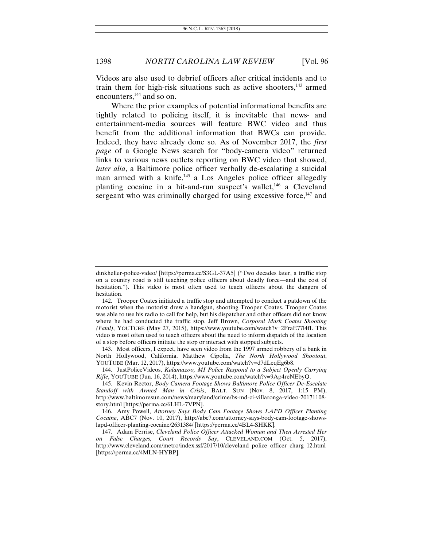Videos are also used to debrief officers after critical incidents and to train them for high-risk situations such as active shooters, $143$  armed encounters,<sup>144</sup> and so on.

Where the prior examples of potential informational benefits are tightly related to policing itself, it is inevitable that news- and entertainment-media sources will feature BWC video and thus benefit from the additional information that BWCs can provide. Indeed, they have already done so. As of November 2017, the *first page* of a Google News search for "body-camera video" returned links to various news outlets reporting on BWC video that showed, *inter alia*, a Baltimore police officer verbally de-escalating a suicidal man armed with a knife,<sup>145</sup> a Los Angeles police officer allegedly planting cocaine in a hit-and-run suspect's wallet,<sup>146</sup> a Cleveland sergeant who was criminally charged for using excessive force, $147$  and

 143. Most officers, I expect, have seen video from the 1997 armed robbery of a bank in North Hollywood, California. Matthew Cipolla, *The North Hollywood Shootout*, YOUTUBE (Mar. 12, 2017), https://www.youtube.com/watch?v=d7dLeqEg6b8.

 144. JustPoliceVideos, *Kalamazoo, MI Police Respond to a Subject Openly Carrying Rifle*, YOUTUBE (Jun. 16, 2014), https://www.youtube.com/watch?v=9Ap4reNEbyQ.

 146. Amy Powell, *Attorney Says Body Cam Footage Shows LAPD Officer Planting Cocaine*, ABC7 (Nov. 10, 2017), http://abc7.com/attorney-says-body-cam-footage-showslapd-officer-planting-cocaine/2631384/ [https://perma.cc/4BL4-SHKK].

 147. Adam Ferrise, *Cleveland Police Officer Attacked Woman and Then Arrested Her on False Charges, Court Records Say*, CLEVELAND.COM (Oct. 5, 2017), http://www.cleveland.com/metro/index.ssf/2017/10/cleveland\_police\_officer\_charg\_12.html [https://perma.cc/4MLN-HYBP].

dinkheller-police-video/ [https://perma.cc/S3GL-37A5] ("Two decades later, a traffic stop on a country road is still teaching police officers about deadly force—and the cost of hesitation."). This video is most often used to teach officers about the dangers of hesitation.

 <sup>142.</sup> Trooper Coates initiated a traffic stop and attempted to conduct a patdown of the motorist when the motorist drew a handgun, shooting Trooper Coates. Trooper Coates was able to use his radio to call for help, but his dispatcher and other officers did not know where he had conducted the traffic stop. Jeff Brown, *Corporal Mark Coates Shooting (Fatal)*, YOUTUBE (May 27, 2015), https://www.youtube.com/watch?v=2FraE77l4fI. This video is most often used to teach officers about the need to inform dispatch of the location of a stop before officers initiate the stop or interact with stopped subjects.

 <sup>145.</sup> Kevin Rector, *Body Camera Footage Shows Baltimore Police Officer De-Escalate Standoff with Armed Man in Crisis*, BALT. SUN (Nov. 8, 2017, 1:15 PM), http://www.baltimoresun.com/news/maryland/crime/bs-md-ci-villaronga-video-20171108 story.html [https://perma.cc/6LHL-7VPN].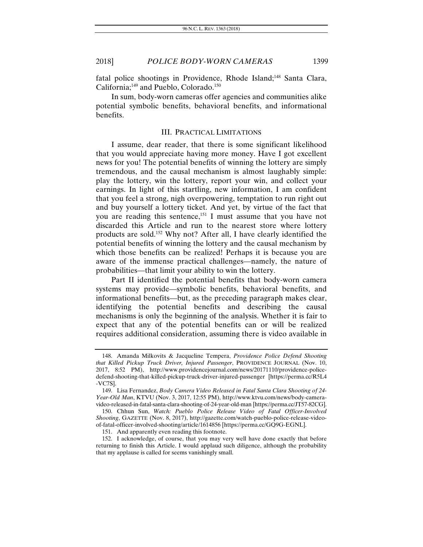fatal police shootings in Providence, Rhode Island;<sup>148</sup> Santa Clara, California;<sup>149</sup> and Pueblo, Colorado.<sup>150</sup>

In sum, body-worn cameras offer agencies and communities alike potential symbolic benefits, behavioral benefits, and informational benefits.

#### III. PRACTICAL LIMITATIONS

I assume, dear reader, that there is some significant likelihood that you would appreciate having more money. Have I got excellent news for you! The potential benefits of winning the lottery are simply tremendous, and the causal mechanism is almost laughably simple: play the lottery, win the lottery, report your win, and collect your earnings. In light of this startling, new information, I am confident that you feel a strong, nigh overpowering, temptation to run right out and buy yourself a lottery ticket. And yet, by virtue of the fact that you are reading this sentence,<sup>151</sup> I must assume that you have not discarded this Article and run to the nearest store where lottery products are sold.152 Why not? After all, I have clearly identified the potential benefits of winning the lottery and the causal mechanism by which those benefits can be realized! Perhaps it is because you are aware of the immense practical challenges—namely, the nature of probabilities—that limit your ability to win the lottery.

Part II identified the potential benefits that body-worn camera systems may provide—symbolic benefits, behavioral benefits, and informational benefits—but, as the preceding paragraph makes clear, identifying the potential benefits and describing the causal mechanisms is only the beginning of the analysis. Whether it is fair to expect that any of the potential benefits can or will be realized requires additional consideration, assuming there is video available in

 <sup>148.</sup> Amanda Milkovits & Jacqueline Tempera, *Providence Police Defend Shooting that Killed Pickup Truck Driver, Injured Passenger*, PROVIDENCE JOURNAL (Nov. 10, 2017, 8:52 PM), http://www.providencejournal.com/news/20171110/providence-policedefend-shooting-that-killed-pickup-truck-driver-injured-passenger [https://perma.cc/R5L4 -VC7S].

 <sup>149.</sup> Lisa Fernandez, *Body Camera Video Released in Fatal Santa Clara Shooting of 24- Year-Old Man*, KTVU (Nov. 3, 2017, 12:55 PM), http://www.ktvu.com/news/body-cameravideo-released-in-fatal-santa-clara-shooting-of-24-year-old-man [https://perma.cc/JT57-82CG].

 <sup>150.</sup> Chhun Sun, *Watch: Pueblo Police Release Video of Fatal Officer-Involved Shooting*, GAZETTE (Nov. 8, 2017), http://gazette.com/watch-pueblo-police-release-videoof-fatal-officer-involved-shooting/article/1614856 [https://perma.cc/GQ9G-EGNL].

 <sup>151.</sup> And apparently even reading this footnote.

 <sup>152.</sup> I acknowledge, of course, that you may very well have done exactly that before returning to finish this Article. I would applaud such diligence, although the probability that my applause is called for seems vanishingly small.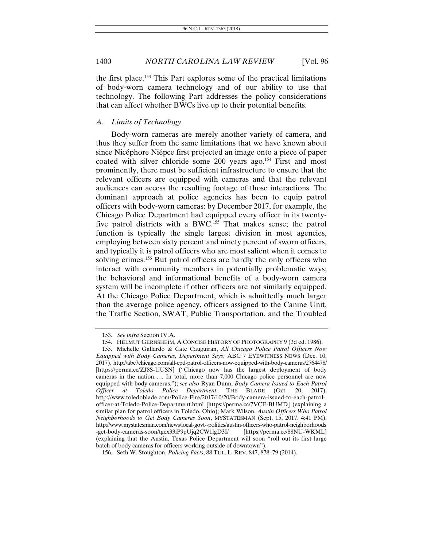the first place.153 This Part explores some of the practical limitations of body-worn camera technology and of our ability to use that technology. The following Part addresses the policy considerations that can affect whether BWCs live up to their potential benefits.

#### *A. Limits of Technology*

Body-worn cameras are merely another variety of camera, and thus they suffer from the same limitations that we have known about since Nicéphore Niépce first projected an image onto a piece of paper coated with silver chloride some 200 years ago.<sup>154</sup> First and most prominently, there must be sufficient infrastructure to ensure that the relevant officers are equipped with cameras and that the relevant audiences can access the resulting footage of those interactions. The dominant approach at police agencies has been to equip patrol officers with body-worn cameras: by December 2017, for example, the Chicago Police Department had equipped every officer in its twentyfive patrol districts with a BWC.<sup>155</sup> That makes sense; the patrol function is typically the single largest division in most agencies, employing between sixty percent and ninety percent of sworn officers, and typically it is patrol officers who are most salient when it comes to solving crimes.<sup>156</sup> But patrol officers are hardly the only officers who interact with community members in potentially problematic ways; the behavioral and informational benefits of a body-worn camera system will be incomplete if other officers are not similarly equipped. At the Chicago Police Department, which is admittedly much larger than the average police agency, officers assigned to the Canine Unit, the Traffic Section, SWAT, Public Transportation, and the Troubled

<sup>153.</sup> *See infra* Section IV.A.

 <sup>154.</sup> HELMUT GERNSHEIM, A CONCISE HISTORY OF PHOTOGRAPHY 9 (3d ed. 1986).

 <sup>155.</sup> Michelle Gallardo & Cate Cauguiran, *All Chicago Police Patrol Officers Now Equipped with Body Cameras, Department Says*, ABC 7 EYEWITNESS NEWS (Dec. 10, 2017), http://abc7chicago.com/all-cpd-patrol-officers-now-equipped-with-body-cameras/2764478/ [https://perma.cc/ZJ8S-UUSN] ("Chicago now has the largest deployment of body cameras in the nation.... In total, more than  $7,000$  Chicago police personnel are now equipped with body cameras."); *see also* Ryan Dunn, *Body Camera Issued to Each Patrol Officer at Toledo Police Department*, THE BLADE (Oct. 20, 2017), http://www.toledoblade.com/Police-Fire/2017/10/20/Body-camera-issued-to-each-patrolofficer-at-Toledo-Police-Department.html [https://perma.cc/7VCE-BUMD] (explaining a similar plan for patrol officers in Toledo, Ohio); Mark Wilson, *Austin Officers Who Patrol Neighborhoods to Get Body Cameras Soon*, MYSTATESMAN (Sept. 15, 2017, 4:41 PM), http://www.mystatesman.com/news/local-govt--politics/austin-officers-who-patrol-neighborhoods -get-body-cameras-soon/tgcx33iP9pUjq2CW1lgD3I/ (explaining that the Austin, Texas Police Department will soon "roll out its first large batch of body cameras for officers working outside of downtown").

 <sup>156.</sup> Seth W. Stoughton, *Policing Facts*, 88 TUL. L. REV. 847, 878–79 (2014).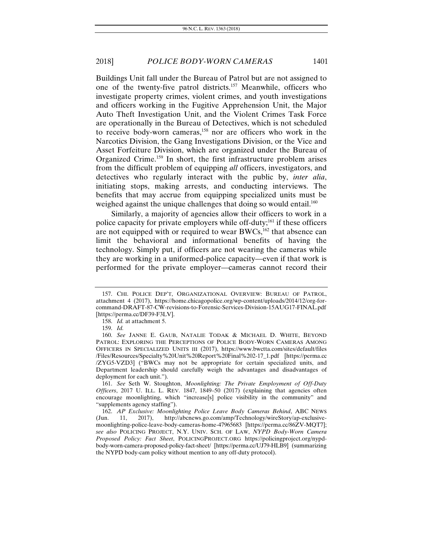Buildings Unit fall under the Bureau of Patrol but are not assigned to one of the twenty-five patrol districts.157 Meanwhile, officers who investigate property crimes, violent crimes, and youth investigations and officers working in the Fugitive Apprehension Unit, the Major Auto Theft Investigation Unit, and the Violent Crimes Task Force are operationally in the Bureau of Detectives, which is not scheduled to receive body-worn cameras,<sup>158</sup> nor are officers who work in the Narcotics Division, the Gang Investigations Division, or the Vice and Asset Forfeiture Division, which are organized under the Bureau of Organized Crime.159 In short, the first infrastructure problem arises from the difficult problem of equipping *all* officers, investigators, and detectives who regularly interact with the public by, *inter alia*, initiating stops, making arrests, and conducting interviews. The benefits that may accrue from equipping specialized units must be weighed against the unique challenges that doing so would entail.<sup>160</sup>

Similarly, a majority of agencies allow their officers to work in a police capacity for private employers while off-duty;<sup>161</sup> if these officers are not equipped with or required to wear  $BWCs$ ,<sup>162</sup> that absence can limit the behavioral and informational benefits of having the technology. Simply put, if officers are not wearing the cameras while they are working in a uniformed-police capacity—even if that work is performed for the private employer—cameras cannot record their

161. *See* Seth W. Stoughton, *Moonlighting: The Private Employment of Off-Duty Officers*, 2017 U. ILL. L. REV. 1847, 1849–50 (2017) (explaining that agencies often encourage moonlighting, which "increase[s] police visibility in the community" and "supplements agency staffing").

162. *AP Exclusive: Moonlighting Police Leave Body Cameras Behind*, ABC NEWS (Jun. 11, 2017), http://abcnews.go.com/amp/Technology/wireStory/ap-exclusivemoonlighting-police-leave-body-cameras-home-47965683 [https://perma.cc/86ZV-MQT7]; *see also* POLICING PROJECT, N.Y. UNIV. SCH. OF LAW, *NYPD Body-Worn Camera Proposed Policy: Fact Sheet*, POLICINGPROJECT.ORG https://policingproject.org/nypdbody-worn-camera-proposed-policy-fact-sheet/ [https://perma.cc/UJ79-HLB9] (summarizing the NYPD body-cam policy without mention to any off-duty protocol).

 <sup>157.</sup> CHI. POLICE DEP'T, ORGANIZATIONAL OVERVIEW: BUREAU OF PATROL, attachment 4 (2017), https://home.chicagopolice.org/wp-content/uploads/2014/12/org-forcommand-DRAFT-87-CW-revisions-to-Forensic-Services-Division-15AUG17-FINAL.pdf [https://perma.cc/DF39-F3LV].

 <sup>158.</sup> *Id.* at attachment 5.

 <sup>159.</sup> *Id.*

 <sup>160.</sup> *See* JANNE E. GAUB, NATALIE TODAK & MICHAEL D. WHITE, BEYOND PATROL: EXPLORING THE PERCEPTIONS OF POLICE BODY-WORN CAMERAS AMONG OFFICERS IN SPECIALIZED UNITS III (2017), https://www.bwctta.com/sites/default/files /Files/Resources/Specialty%20Unit%20Report%20Final%202-17\_1.pdf [https://perma.cc /ZYG5-VZD3] ("BWCs may not be appropriate for certain specialized units, and Department leadership should carefully weigh the advantages and disadvantages of deployment for each unit.").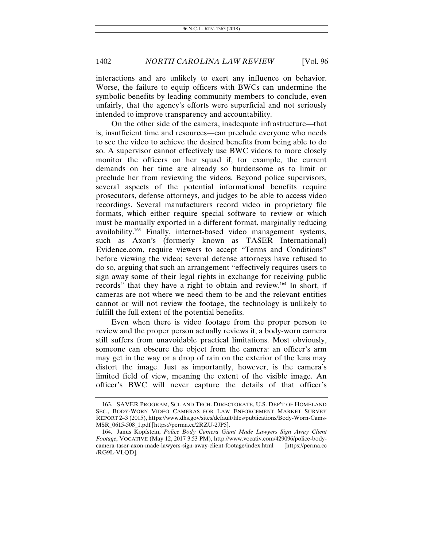interactions and are unlikely to exert any influence on behavior. Worse, the failure to equip officers with BWCs can undermine the symbolic benefits by leading community members to conclude, even unfairly, that the agency's efforts were superficial and not seriously intended to improve transparency and accountability.

On the other side of the camera, inadequate infrastructure—that is, insufficient time and resources—can preclude everyone who needs to see the video to achieve the desired benefits from being able to do so. A supervisor cannot effectively use BWC videos to more closely monitor the officers on her squad if, for example, the current demands on her time are already so burdensome as to limit or preclude her from reviewing the videos. Beyond police supervisors, several aspects of the potential informational benefits require prosecutors, defense attorneys, and judges to be able to access video recordings. Several manufacturers record video in proprietary file formats, which either require special software to review or which must be manually exported in a different format, marginally reducing availability.163 Finally, internet-based video management systems, such as Axon's (formerly known as TASER International) Evidence.com, require viewers to accept "Terms and Conditions" before viewing the video; several defense attorneys have refused to do so, arguing that such an arrangement "effectively requires users to sign away some of their legal rights in exchange for receiving public records" that they have a right to obtain and review.164 In short, if cameras are not where we need them to be and the relevant entities cannot or will not review the footage, the technology is unlikely to fulfill the full extent of the potential benefits.

Even when there is video footage from the proper person to review and the proper person actually reviews it, a body-worn camera still suffers from unavoidable practical limitations. Most obviously, someone can obscure the object from the camera: an officer's arm may get in the way or a drop of rain on the exterior of the lens may distort the image. Just as importantly, however, is the camera's limited field of view, meaning the extent of the visible image. An officer's BWC will never capture the details of that officer's

 <sup>163.</sup> SAVER PROGRAM, SCI. AND TECH. DIRECTORATE, U.S. DEP'T OF HOMELAND SEC., BODY-WORN VIDEO CAMERAS FOR LAW ENFORCEMENT MARKET SURVEY REPORT 2–3 (2015), https://www.dhs.gov/sites/default/files/publications/Body-Worn-Cams-MSR\_0615-508\_1.pdf [https://perma.cc/2RZU-2JP5].

 <sup>164.</sup> Janus Kopfstein, *Police Body Camera Giant Made Lawyers Sign Away Client Footage*, VOCATIVE (May 12, 2017 3:53 PM), http://www.vocativ.com/429096/police-bodycamera-taser-axon-made-lawyers-sign-away-client-footage/index.html [https://perma.cc /RG9L-VLQD].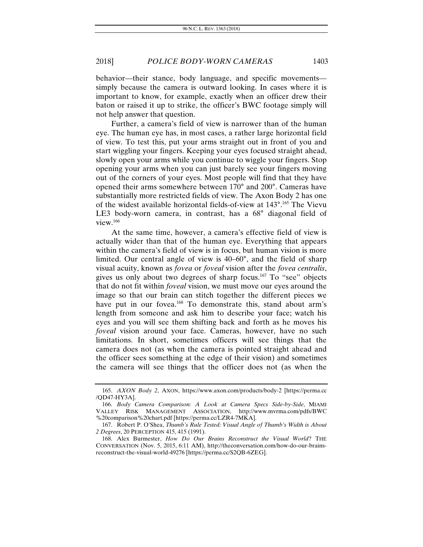behavior—their stance, body language, and specific movements simply because the camera is outward looking. In cases where it is important to know, for example, exactly when an officer drew their baton or raised it up to strike, the officer's BWC footage simply will not help answer that question.

Further, a camera's field of view is narrower than of the human eye. The human eye has, in most cases, a rather large horizontal field of view. To test this, put your arms straight out in front of you and start wiggling your fingers. Keeping your eyes focused straight ahead, slowly open your arms while you continue to wiggle your fingers. Stop opening your arms when you can just barely see your fingers moving out of the corners of your eyes. Most people will find that they have opened their arms somewhere between 170° and 200°. Cameras have substantially more restricted fields of view. The Axon Body 2 has one of the widest available horizontal fields-of-view at 143°. 165 The Vievu LE3 body-worn camera, in contrast, has a  $68^\circ$  diagonal field of view.166

At the same time, however, a camera's effective field of view is actually wider than that of the human eye. Everything that appears within the camera's field of view is in focus, but human vision is more limited. Our central angle of view is 40–60°, and the field of sharp visual acuity, known as *fovea* or *foveal* vision after the *fovea centralis*, gives us only about two degrees of sharp focus.167 To "see" objects that do not fit within *foveal* vision, we must move our eyes around the image so that our brain can stitch together the different pieces we have put in our fovea.<sup>168</sup> To demonstrate this, stand about arm's length from someone and ask him to describe your face; watch his eyes and you will see them shifting back and forth as he moves his *foveal* vision around your face. Cameras, however, have no such limitations. In short, sometimes officers will see things that the camera does not (as when the camera is pointed straight ahead and the officer sees something at the edge of their vision) and sometimes the camera will see things that the officer does not (as when the

<sup>165.</sup> *AXON Body 2*, AXON, https://www.axon.com/products/body-2 [https://perma.cc /QD47-HY3A].

<sup>166.</sup> *Body Camera Comparison: A Look at Camera Specs Side-by-Side*, MIAMI VALLEY RISK MANAGEMENT ASSOCIATION, http://www.mvrma.com/pdfs/BWC %20comparison%20chart.pdf [https://perma.cc/LZR4-7MKA].

 <sup>167.</sup> Robert P. O'Shea, *Thumb's Rule Tested: Visual Angle of Thumb's Width is About 2 Degrees*, 20 PERCEPTION 415, 415 (1991).

 <sup>168.</sup> Alex Burmester, *How Do Our Brains Reconstruct the Visual World*? THE CONVERSATION (Nov. 5, 2015, 6:11 AM), http://theconversation.com/how-do-our-brainsreconstruct-the-visual-world-49276 [https://perma.cc/S2QB-6ZEG].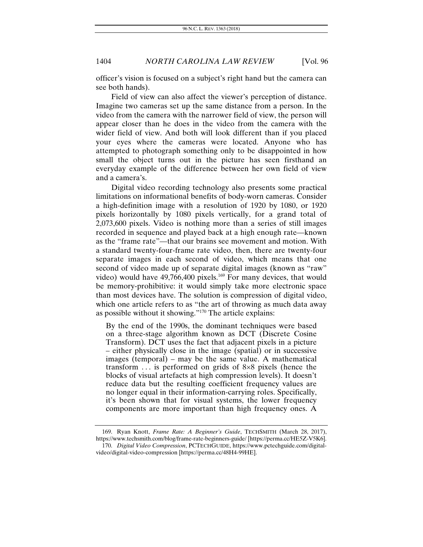officer's vision is focused on a subject's right hand but the camera can see both hands).

Field of view can also affect the viewer's perception of distance. Imagine two cameras set up the same distance from a person. In the video from the camera with the narrower field of view, the person will appear closer than he does in the video from the camera with the wider field of view. And both will look different than if you placed your eyes where the cameras were located. Anyone who has attempted to photograph something only to be disappointed in how small the object turns out in the picture has seen firsthand an everyday example of the difference between her own field of view and a camera's.

Digital video recording technology also presents some practical limitations on informational benefits of body-worn cameras. Consider a high-definition image with a resolution of 1920 by 1080, or 1920 pixels horizontally by 1080 pixels vertically, for a grand total of 2,073,600 pixels. Video is nothing more than a series of still images recorded in sequence and played back at a high enough rate—known as the "frame rate"—that our brains see movement and motion. With a standard twenty-four-frame rate video, then, there are twenty-four separate images in each second of video, which means that one second of video made up of separate digital images (known as "raw" video) would have  $49,766,400$  pixels.<sup>169</sup> For many devices, that would be memory-prohibitive: it would simply take more electronic space than most devices have. The solution is compression of digital video, which one article refers to as "the art of throwing as much data away as possible without it showing."170 The article explains:

By the end of the 1990s, the dominant techniques were based on a three-stage algorithm known as DCT (Discrete Cosine Transform). DCT uses the fact that adjacent pixels in a picture – either physically close in the image (spatial) or in successive images (temporal) – may be the same value. A mathematical transform . . . is performed on grids of 8×8 pixels (hence the blocks of visual artefacts at high compression levels). It doesn't reduce data but the resulting coefficient frequency values are no longer equal in their information-carrying roles. Specifically, it's been shown that for visual systems, the lower frequency components are more important than high frequency ones. A

 169. Ryan Knott, *Frame Rate: A Beginner's Guide*, TECHSMITH (March 28, 2017), https://www.techsmith.com/blog/frame-rate-beginners-guide/ [https://perma.cc/HE5Z-V5K6]. 170. *Digital Video Compression*, PCTECHGUIDE, https://www.pctechguide.com/digitalvideo/digital-video-compression [https://perma.cc/48H4-99HE].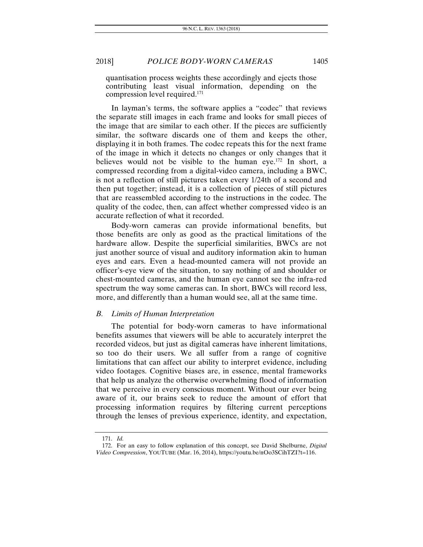quantisation process weights these accordingly and ejects those contributing least visual information, depending on the compression level required.171

In layman's terms, the software applies a "codec" that reviews the separate still images in each frame and looks for small pieces of the image that are similar to each other. If the pieces are sufficiently similar, the software discards one of them and keeps the other, displaying it in both frames. The codec repeats this for the next frame of the image in which it detects no changes or only changes that it believes would not be visible to the human eye.<sup>172</sup> In short, a compressed recording from a digital-video camera, including a BWC, is not a reflection of still pictures taken every 1/24th of a second and then put together; instead, it is a collection of pieces of still pictures that are reassembled according to the instructions in the codec. The quality of the codec, then, can affect whether compressed video is an accurate reflection of what it recorded.

Body-worn cameras can provide informational benefits, but those benefits are only as good as the practical limitations of the hardware allow. Despite the superficial similarities, BWCs are not just another source of visual and auditory information akin to human eyes and ears. Even a head-mounted camera will not provide an officer's-eye view of the situation, to say nothing of and shoulder or chest-mounted cameras, and the human eye cannot see the infra-red spectrum the way some cameras can. In short, BWCs will record less, more, and differently than a human would see, all at the same time.

## *B. Limits of Human Interpretation*

The potential for body-worn cameras to have informational benefits assumes that viewers will be able to accurately interpret the recorded videos, but just as digital cameras have inherent limitations, so too do their users. We all suffer from a range of cognitive limitations that can affect our ability to interpret evidence, including video footages. Cognitive biases are, in essence, mental frameworks that help us analyze the otherwise overwhelming flood of information that we perceive in every conscious moment. Without our ever being aware of it, our brains seek to reduce the amount of effort that processing information requires by filtering current perceptions through the lenses of previous experience, identity, and expectation,

<sup>171.</sup> *Id.*

 <sup>172.</sup> For an easy to follow explanation of this concept, see David Shelburne, *Digital Video Compression*, YOUTUBE (Mar. 16, 2014), https://youtu.be/nOo3SCihTZI?t=116.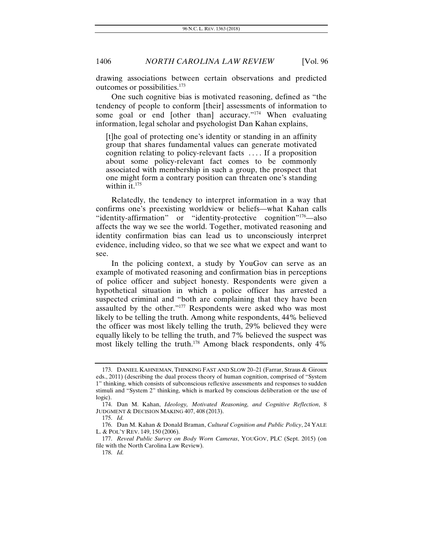drawing associations between certain observations and predicted outcomes or possibilities.173

One such cognitive bias is motivated reasoning, defined as "the tendency of people to conform [their] assessments of information to some goal or end [other than] accuracy."<sup>174</sup> When evaluating information, legal scholar and psychologist Dan Kahan explains,

[t]he goal of protecting one's identity or standing in an affinity group that shares fundamental values can generate motivated cognition relating to policy-relevant facts . . . . If a proposition about some policy-relevant fact comes to be commonly associated with membership in such a group, the prospect that one might form a contrary position can threaten one's standing within it. $175$ 

Relatedly, the tendency to interpret information in a way that confirms one's preexisting worldview or beliefs—what Kahan calls "identity-affirmation" or "identity-protective cognition"<sup>176</sup>—also affects the way we see the world. Together, motivated reasoning and identity confirmation bias can lead us to unconsciously interpret evidence, including video, so that we see what we expect and want to see.

In the policing context, a study by YouGov can serve as an example of motivated reasoning and confirmation bias in perceptions of police officer and subject honesty. Respondents were given a hypothetical situation in which a police officer has arrested a suspected criminal and "both are complaining that they have been assaulted by the other."177 Respondents were asked who was most likely to be telling the truth. Among white respondents, 44% believed the officer was most likely telling the truth, 29% believed they were equally likely to be telling the truth, and 7% believed the suspect was most likely telling the truth.<sup>178</sup> Among black respondents, only 4%

 <sup>173.</sup> DANIEL KAHNEMAN, THINKING FAST AND SLOW 20–21 (Farrar, Straus & Giroux eds., 2011) (describing the dual process theory of human cognition, comprised of "System 1" thinking, which consists of subconscious reflexive assessments and responses to sudden stimuli and "System 2" thinking, which is marked by conscious deliberation or the use of logic).

 <sup>174.</sup> Dan M. Kahan, *Ideology, Motivated Reasoning, and Cognitive Reflection*, 8 JUDGMENT & DECISION MAKING 407, 408 (2013).

<sup>175.</sup> *Id.*

 <sup>176.</sup> Dan M. Kahan & Donald Braman, *Cultural Cognition and Public Policy*, 24 YALE L. & POL'Y REV. 149, 150 (2006).

 <sup>177.</sup> *Reveal Public Survey on Body Worn Cameras*, YOUGOV, PLC (Sept. 2015) (on file with the North Carolina Law Review).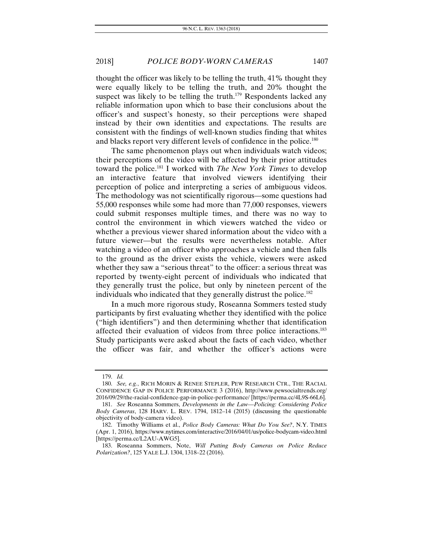thought the officer was likely to be telling the truth, 41% thought they were equally likely to be telling the truth, and 20% thought the suspect was likely to be telling the truth.<sup>179</sup> Respondents lacked any reliable information upon which to base their conclusions about the officer's and suspect's honesty, so their perceptions were shaped instead by their own identities and expectations. The results are consistent with the findings of well-known studies finding that whites and blacks report very different levels of confidence in the police.<sup>180</sup>

The same phenomenon plays out when individuals watch videos; their perceptions of the video will be affected by their prior attitudes toward the police.181 I worked with *The New York Times* to develop an interactive feature that involved viewers identifying their perception of police and interpreting a series of ambiguous videos. The methodology was not scientifically rigorous—some questions had 55,000 responses while some had more than 77,000 responses, viewers could submit responses multiple times, and there was no way to control the environment in which viewers watched the video or whether a previous viewer shared information about the video with a future viewer—but the results were nevertheless notable. After watching a video of an officer who approaches a vehicle and then falls to the ground as the driver exists the vehicle, viewers were asked whether they saw a "serious threat" to the officer: a serious threat was reported by twenty-eight percent of individuals who indicated that they generally trust the police, but only by nineteen percent of the individuals who indicated that they generally distrust the police.<sup>182</sup>

In a much more rigorous study, Roseanna Sommers tested study participants by first evaluating whether they identified with the police ("high identifiers") and then determining whether that identification affected their evaluation of videos from three police interactions.183 Study participants were asked about the facts of each video, whether the officer was fair, and whether the officer's actions were

 <sup>179.</sup> *Id.*

<sup>180.</sup> *See, e.g.*, RICH MORIN & RENEE STEPLER, PEW RESEARCH CTR., THE RACIAL CONFIDENCE GAP IN POLICE PERFORMANCE 3 (2016), http://www.pewsocialtrends.org/ 2016/09/29/the-racial-confidence-gap-in-police-performance/ [https://perma.cc/4L9S-66L6].

<sup>181.</sup> *See* Roseanna Sommers, *Developments in the Law—Policing: Considering Police Body Cameras*, 128 HARV. L. REV. 1794, 1812–14 (2015) (discussing the questionable objectivity of body-camera video).

 <sup>182.</sup> Timothy Williams et al., *Police Body Cameras: What Do You See?*, N.Y. TIMES (Apr. 1, 2016), https://www.nytimes.com/interactive/2016/04/01/us/police-bodycam-video.html [https://perma.cc/L2AU-AWG5].

 <sup>183.</sup> Roseanna Sommers, Note, *Will Putting Body Cameras on Police Reduce Polarization?*, 125 YALE L.J. 1304, 1318–22 (2016).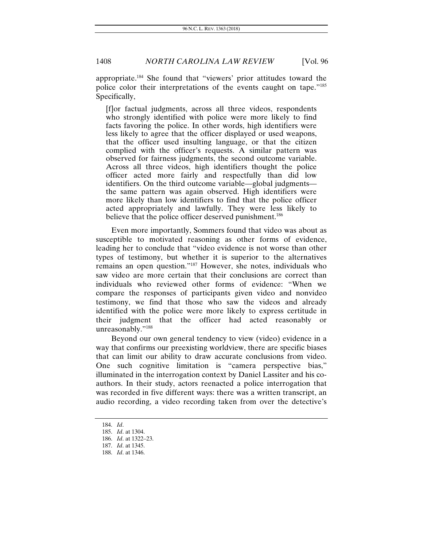appropriate.184 She found that "viewers' prior attitudes toward the police color their interpretations of the events caught on tape."185 Specifically,

[f]or factual judgments, across all three videos, respondents who strongly identified with police were more likely to find facts favoring the police. In other words, high identifiers were less likely to agree that the officer displayed or used weapons, that the officer used insulting language, or that the citizen complied with the officer's requests. A similar pattern was observed for fairness judgments, the second outcome variable. Across all three videos, high identifiers thought the police officer acted more fairly and respectfully than did low identifiers. On the third outcome variable—global judgments the same pattern was again observed. High identifiers were more likely than low identifiers to find that the police officer acted appropriately and lawfully. They were less likely to believe that the police officer deserved punishment.<sup>186</sup>

Even more importantly, Sommers found that video was about as susceptible to motivated reasoning as other forms of evidence, leading her to conclude that "video evidence is not worse than other types of testimony, but whether it is superior to the alternatives remains an open question."187 However, she notes, individuals who saw video are more certain that their conclusions are correct than individuals who reviewed other forms of evidence: "When we compare the responses of participants given video and nonvideo testimony, we find that those who saw the videos and already identified with the police were more likely to express certitude in their judgment that the officer had acted reasonably or unreasonably."188

Beyond our own general tendency to view (video) evidence in a way that confirms our preexisting worldview, there are specific biases that can limit our ability to draw accurate conclusions from video. One such cognitive limitation is "camera perspective bias," illuminated in the interrogation context by Daniel Lassiter and his coauthors. In their study, actors reenacted a police interrogation that was recorded in five different ways: there was a written transcript, an audio recording, a video recording taken from over the detective's

<sup>184.</sup> *Id*.

<sup>185.</sup> *Id*. at 1304.

<sup>186.</sup> *Id*. at 1322–23.

<sup>187.</sup> *Id*. at 1345.

<sup>188.</sup> *Id*. at 1346.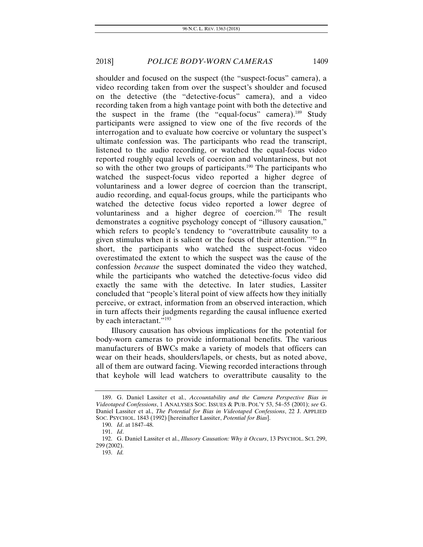shoulder and focused on the suspect (the "suspect-focus" camera), a video recording taken from over the suspect's shoulder and focused on the detective (the "detective-focus" camera), and a video recording taken from a high vantage point with both the detective and the suspect in the frame (the "equal-focus" camera).<sup>189</sup> Study participants were assigned to view one of the five records of the interrogation and to evaluate how coercive or voluntary the suspect's ultimate confession was. The participants who read the transcript, listened to the audio recording, or watched the equal-focus video reported roughly equal levels of coercion and voluntariness, but not so with the other two groups of participants.<sup>190</sup> The participants who watched the suspect-focus video reported a higher degree of voluntariness and a lower degree of coercion than the transcript, audio recording, and equal-focus groups, while the participants who watched the detective focus video reported a lower degree of voluntariness and a higher degree of coercion.<sup>191</sup> The result demonstrates a cognitive psychology concept of "illusory causation," which refers to people's tendency to "overattribute causality to a given stimulus when it is salient or the focus of their attention."192 In short, the participants who watched the suspect-focus video overestimated the extent to which the suspect was the cause of the confession *because* the suspect dominated the video they watched, while the participants who watched the detective-focus video did exactly the same with the detective. In later studies, Lassiter concluded that "people's literal point of view affects how they initially perceive, or extract, information from an observed interaction, which in turn affects their judgments regarding the causal influence exerted by each interactant."193

Illusory causation has obvious implications for the potential for body-worn cameras to provide informational benefits. The various manufacturers of BWCs make a variety of models that officers can wear on their heads, shoulders/lapels, or chests, but as noted above, all of them are outward facing. Viewing recorded interactions through that keyhole will lead watchers to overattribute causality to the

 <sup>189.</sup> G. Daniel Lassiter et al., *Accountability and the Camera Perspective Bias in Videotaped Confessions*, 1 ANALYSES SOC. ISSUES & PUB. POL'Y 53, 54–55 (2001); *see* G. Daniel Lassiter et al., *The Potential for Bias in Videotaped Confessions*, 22 J. APPLIED SOC. PSYCHOL. 1843 (1992) [hereinafter Lassiter, *Potential for Bias*].

<sup>190.</sup> *Id*. at 1847–48.

<sup>191.</sup> *Id*.

 <sup>192.</sup> G. Daniel Lassiter et al., *Illusory Causation: Why it Occurs*, 13 PSYCHOL. SCI. 299, 299 (2002).

<sup>193.</sup> *Id.*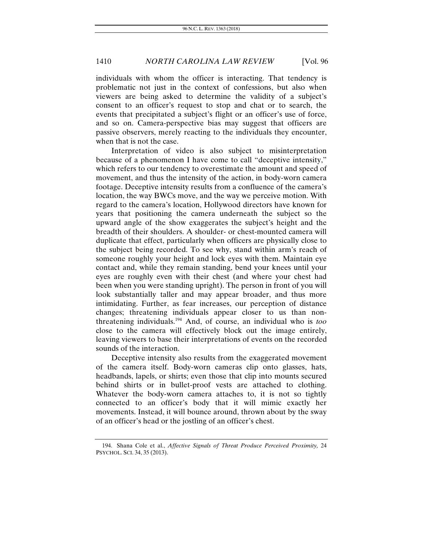individuals with whom the officer is interacting. That tendency is problematic not just in the context of confessions, but also when viewers are being asked to determine the validity of a subject's consent to an officer's request to stop and chat or to search, the events that precipitated a subject's flight or an officer's use of force, and so on. Camera-perspective bias may suggest that officers are passive observers, merely reacting to the individuals they encounter, when that is not the case.

Interpretation of video is also subject to misinterpretation because of a phenomenon I have come to call "deceptive intensity," which refers to our tendency to overestimate the amount and speed of movement, and thus the intensity of the action, in body-worn camera footage. Deceptive intensity results from a confluence of the camera's location, the way BWCs move, and the way we perceive motion. With regard to the camera's location, Hollywood directors have known for years that positioning the camera underneath the subject so the upward angle of the show exaggerates the subject's height and the breadth of their shoulders. A shoulder- or chest-mounted camera will duplicate that effect, particularly when officers are physically close to the subject being recorded. To see why, stand within arm's reach of someone roughly your height and lock eyes with them. Maintain eye contact and, while they remain standing, bend your knees until your eyes are roughly even with their chest (and where your chest had been when you were standing upright). The person in front of you will look substantially taller and may appear broader, and thus more intimidating. Further, as fear increases, our perception of distance changes; threatening individuals appear closer to us than nonthreatening individuals.194 And, of course, an individual who is *too* close to the camera will effectively block out the image entirely, leaving viewers to base their interpretations of events on the recorded sounds of the interaction.

Deceptive intensity also results from the exaggerated movement of the camera itself. Body-worn cameras clip onto glasses, hats, headbands, lapels, or shirts; even those that clip into mounts secured behind shirts or in bullet-proof vests are attached to clothing. Whatever the body-worn camera attaches to, it is not so tightly connected to an officer's body that it will mimic exactly her movements. Instead, it will bounce around, thrown about by the sway of an officer's head or the jostling of an officer's chest.

 <sup>194.</sup> Shana Cole et al., *Affective Signals of Threat Produce Perceived Proximity,* 24 PSYCHOL. SCI. 34, 35 (2013).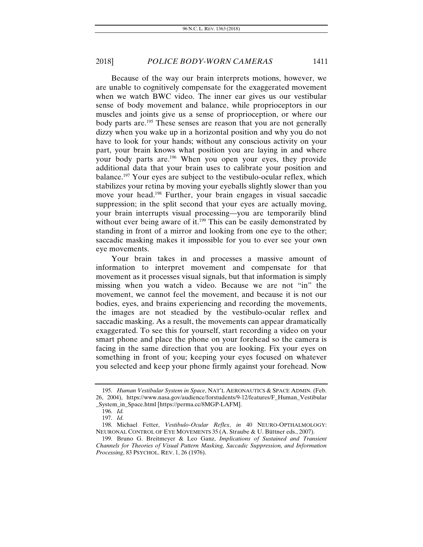Because of the way our brain interprets motions, however, we are unable to cognitively compensate for the exaggerated movement when we watch BWC video. The inner ear gives us our vestibular sense of body movement and balance, while proprioceptors in our muscles and joints give us a sense of proprioception, or where our body parts are.<sup>195</sup> These senses are reason that you are not generally dizzy when you wake up in a horizontal position and why you do not have to look for your hands; without any conscious activity on your part, your brain knows what position you are laying in and where your body parts are.196 When you open your eyes, they provide additional data that your brain uses to calibrate your position and balance.197 Your eyes are subject to the vestibulo-ocular reflex, which stabilizes your retina by moving your eyeballs slightly slower than you move your head.<sup>198</sup> Further, your brain engages in visual saccadic suppression; in the split second that your eyes are actually moving, your brain interrupts visual processing—you are temporarily blind without ever being aware of it.<sup>199</sup> This can be easily demonstrated by standing in front of a mirror and looking from one eye to the other; saccadic masking makes it impossible for you to ever see your own eye movements.

Your brain takes in and processes a massive amount of information to interpret movement and compensate for that movement as it processes visual signals, but that information is simply missing when you watch a video. Because we are not "in" the movement, we cannot feel the movement, and because it is not our bodies, eyes, and brains experiencing and recording the movements, the images are not steadied by the vestibulo-ocular reflex and saccadic masking. As a result, the movements can appear dramatically exaggerated. To see this for yourself, start recording a video on your smart phone and place the phone on your forehead so the camera is facing in the same direction that you are looking. Fix your eyes on something in front of you; keeping your eyes focused on whatever you selected and keep your phone firmly against your forehead. Now

<sup>195.</sup> *Human Vestibular System in Space*, NAT'L AERONAUTICS & SPACE ADMIN. (Feb. 26, 2004), https://www.nasa.gov/audience/forstudents/9-12/features/F\_Human\_Vestibular \_System\_in\_Space.html [https://perma.cc/8MGP-LAFM].

<sup>196.</sup> *Id.*

<sup>197.</sup> *Id.*

 <sup>198.</sup> Michael Fetter, *Vestibulo-Ocular Reflex*, *in* 40 NEURO-OPTHALMOLOGY: NEURONAL CONTROL OF EYE MOVEMENTS 35 (A. Straube & U. Büttner eds., 2007).

 <sup>199.</sup> Bruno G. Breitmeyer & Leo Ganz, *Implications of Sustained and Transient Channels for Theories of Visual Pattern Masking, Saccadic Suppression, and Information Processing*, 83 PSYCHOL. REV. 1, 26 (1976).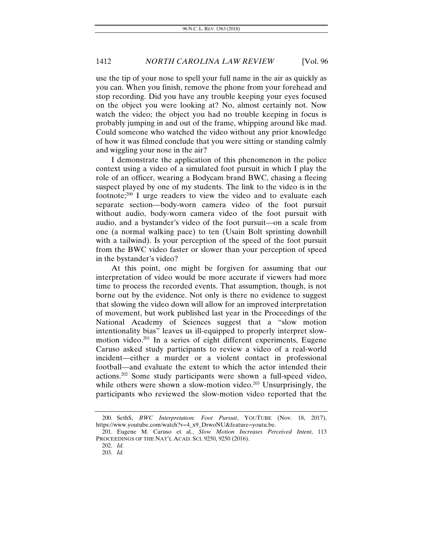use the tip of your nose to spell your full name in the air as quickly as you can. When you finish, remove the phone from your forehead and stop recording. Did you have any trouble keeping your eyes focused on the object you were looking at? No, almost certainly not. Now watch the video; the object you had no trouble keeping in focus is probably jumping in and out of the frame, whipping around like mad. Could someone who watched the video without any prior knowledge of how it was filmed conclude that you were sitting or standing calmly and wiggling your nose in the air?

I demonstrate the application of this phenomenon in the police context using a video of a simulated foot pursuit in which I play the role of an officer, wearing a Bodycam brand BWC, chasing a fleeing suspect played by one of my students. The link to the video is in the footnote;<sup>200</sup> I urge readers to view the video and to evaluate each separate section—body-worn camera video of the foot pursuit without audio, body-worn camera video of the foot pursuit with audio, and a bystander's video of the foot pursuit—on a scale from one (a normal walking pace) to ten (Usain Bolt sprinting downhill with a tailwind). Is your perception of the speed of the foot pursuit from the BWC video faster or slower than your perception of speed in the bystander's video?

At this point, one might be forgiven for assuming that our interpretation of video would be more accurate if viewers had more time to process the recorded events. That assumption, though, is not borne out by the evidence. Not only is there no evidence to suggest that slowing the video down will allow for an improved interpretation of movement, but work published last year in the Proceedings of the National Academy of Sciences suggest that a "slow motion intentionality bias" leaves us ill-equipped to properly interpret slowmotion video.<sup>201</sup> In a series of eight different experiments, Eugene Caruso asked study participants to review a video of a real-world incident—either a murder or a violent contact in professional football—and evaluate the extent to which the actor intended their actions.202 Some study participants were shown a full-speed video, while others were shown a slow-motion video.<sup>203</sup> Unsurprisingly, the participants who reviewed the slow-motion video reported that the

 <sup>200.</sup> SethS, *BWC Interpretation: Foot Pursuit*, YOUTUBE (Nov. 18, 2017), https://www.youtube.com/watch?v=4\_x9\_DrwoNU&feature=youtu.be.

 <sup>201.</sup> Eugene M. Caruso et al., *Slow Motion Increases Perceived Intent*, 113 PROCEEDINGS OF THE NAT'L ACAD. SCI. 9250, 9250 (2016).

<sup>202.</sup> *Id.*

<sup>203.</sup> *Id.*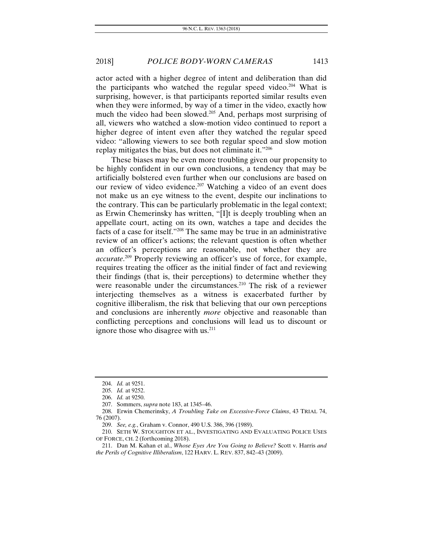actor acted with a higher degree of intent and deliberation than did the participants who watched the regular speed video.<sup>204</sup> What is surprising, however, is that participants reported similar results even when they were informed, by way of a timer in the video, exactly how much the video had been slowed.<sup>205</sup> And, perhaps most surprising of all, viewers who watched a slow-motion video continued to report a higher degree of intent even after they watched the regular speed video: "allowing viewers to see both regular speed and slow motion replay mitigates the bias, but does not eliminate it."206

These biases may be even more troubling given our propensity to be highly confident in our own conclusions, a tendency that may be artificially bolstered even further when our conclusions are based on our review of video evidence.<sup>207</sup> Watching a video of an event does not make us an eye witness to the event, despite our inclinations to the contrary. This can be particularly problematic in the legal context; as Erwin Chemerinsky has written, "[I]t is deeply troubling when an appellate court, acting on its own, watches a tape and decides the facts of a case for itself."208 The same may be true in an administrative review of an officer's actions; the relevant question is often whether an officer's perceptions are reasonable, not whether they are *accurate*. 209 Properly reviewing an officer's use of force, for example, requires treating the officer as the initial finder of fact and reviewing their findings (that is, their perceptions) to determine whether they were reasonable under the circumstances.<sup>210</sup> The risk of a reviewer interjecting themselves as a witness is exacerbated further by cognitive illiberalism, the risk that believing that our own perceptions and conclusions are inherently *more* objective and reasonable than conflicting perceptions and conclusions will lead us to discount or ignore those who disagree with us.<sup>211</sup>

<sup>204.</sup> *Id.* at 9251.

<sup>205.</sup> *Id.* at 9252.

<sup>206.</sup> *Id.* at 9250.

 <sup>207.</sup> Sommers, *supra* note 183, at 1345–46.

 <sup>208.</sup> Erwin Chemerinsky, *A Troubling Take on Excessive-Force Claims*, 43 TRIAL 74, 76 (2007).

<sup>209.</sup> *See, e.g.*, Graham v. Connor, 490 U.S. 386, 396 (1989).

 <sup>210.</sup> SETH W. STOUGHTON ET AL., INVESTIGATING AND EVALUATING POLICE USES OF FORCE, CH. 2 (forthcoming 2018).

 <sup>211.</sup> Dan M. Kahan et al., *Whose Eyes Are You Going to Believe?* Scott v. Harris *and the Perils of Cognitive Illiberalism*, 122 HARV. L. REV. 837, 842–43 (2009).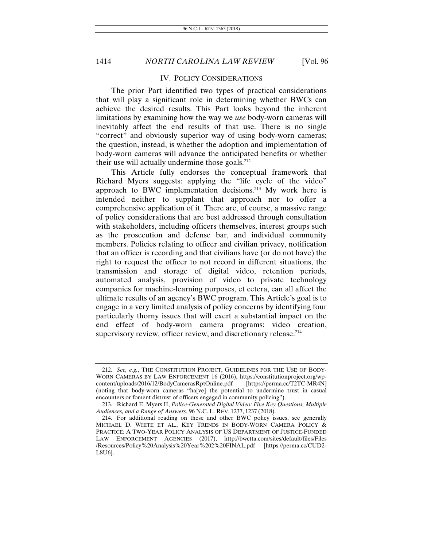#### IV. POLICY CONSIDERATIONS

The prior Part identified two types of practical considerations that will play a significant role in determining whether BWCs can achieve the desired results. This Part looks beyond the inherent limitations by examining how the way we *use* body-worn cameras will inevitably affect the end results of that use. There is no single "correct" and obviously superior way of using body-worn cameras; the question, instead, is whether the adoption and implementation of body-worn cameras will advance the anticipated benefits or whether their use will actually undermine those goals.<sup>212</sup>

This Article fully endorses the conceptual framework that Richard Myers suggests: applying the "life cycle of the video" approach to BWC implementation decisions.213 My work here is intended neither to supplant that approach nor to offer a comprehensive application of it. There are, of course, a massive range of policy considerations that are best addressed through consultation with stakeholders, including officers themselves, interest groups such as the prosecution and defense bar, and individual community members. Policies relating to officer and civilian privacy, notification that an officer is recording and that civilians have (or do not have) the right to request the officer to not record in different situations, the transmission and storage of digital video, retention periods, automated analysis, provision of video to private technology companies for machine-learning purposes, et cetera, can all affect the ultimate results of an agency's BWC program. This Article's goal is to engage in a very limited analysis of policy concerns by identifying four particularly thorny issues that will exert a substantial impact on the end effect of body-worn camera programs: video creation, supervisory review, officer review, and discretionary release.<sup>214</sup>

<sup>212.</sup> *See, e.g.*, THE CONSTITUTION PROJECT, GUIDELINES FOR THE USE OF BODY-WORN CAMERAS BY LAW ENFORCEMENT 16 (2016), https://constitutionproject.org/wp-<br>content/uploads/2016/12/BodyCamerasRptOnline.pdf [https://perma.cc/T2TC-MR4N] content/uploads/2016/12/BodyCamerasRptOnline.pdf (noting that body-worn cameras "ha[ve] the potential to undermine trust in casual encounters or foment distrust of officers engaged in community policing").

 <sup>213.</sup> Richard E. Myers II, *Police-Generated Digital Video: Five Key Questions, Multiple Audiences, and a Range of Answers*, 96 N.C. L. REV. 1237, 1237 (2018).

 <sup>214.</sup> For additional reading on these and other BWC policy issues, see generally MICHAEL D. WHITE ET AL., KEY TRENDS IN BODY-WORN CAMERA POLICY & PRACTICE: A TWO-YEAR POLICY ANALYSIS OF US DEPARTMENT OF JUSTICE-FUNDED LAW ENFORCEMENT AGENCIES (2017), http://bwctta.com/sites/default/files/Files /Resources/Policy%20Analysis%20Year%202%20FINAL.pdf [https://perma.cc/CUD2- L8U6].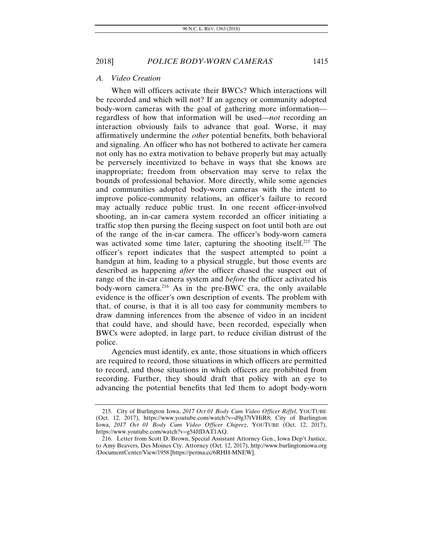#### *A. Video Creation*

When will officers activate their BWCs? Which interactions will be recorded and which will not? If an agency or community adopted body-worn cameras with the goal of gathering more information regardless of how that information will be used—*not* recording an interaction obviously fails to advance that goal. Worse, it may affirmatively undermine the *other* potential benefits, both behavioral and signaling. An officer who has not bothered to activate her camera not only has no extra motivation to behave properly but may actually be perversely incentivized to behave in ways that she knows are inappropriate; freedom from observation may serve to relax the bounds of professional behavior. More directly, while some agencies and communities adopted body-worn cameras with the intent to improve police-community relations, an officer's failure to record may actually reduce public trust. In one recent officer-involved shooting, an in-car camera system recorded an officer initiating a traffic stop then pursing the fleeing suspect on foot until both are out of the range of the in-car camera. The officer's body-worn camera was activated some time later, capturing the shooting itself.<sup>215</sup> The officer's report indicates that the suspect attempted to point a handgun at him, leading to a physical struggle, but those events are described as happening *after* the officer chased the suspect out of range of the in-car camera system and *before* the officer activated his body-worn camera.<sup>216</sup> As in the pre-BWC era, the only available evidence is the officer's own description of events. The problem with that, of course, is that it is all too easy for community members to draw damning inferences from the absence of video in an incident that could have, and should have, been recorded, especially when BWCs were adopted, in large part, to reduce civilian distrust of the police.

Agencies must identify, ex ante, those situations in which officers are required to record, those situations in which officers are permitted to record, and those situations in which officers are prohibited from recording. Further, they should draft that policy with an eye to advancing the potential benefits that led them to adopt body-worn

 <sup>215.</sup> City of Burlington Iowa, *2017 Oct 01 Body Cam Video Officer Riffel*, YOUTUBE (Oct. 12, 2017), https://www.youtube.com/watch?v=d9g37tVHiR8; City of Burlington Iowa, *2017 Oct 01 Body Cam Video Officer Chiprez*, YOUTUBE (Oct. 12, 2017), https://www.youtube.com/watch?v=g54JfDAT1AQ.

 <sup>216.</sup> Letter from Scott D. Brown, Special Assistant Attorney Gen., Iowa Dep't Justice, to Amy Beavers, Des Moines Cty. Attorney (Oct. 12, 2017), http://www.burlingtoniowa.org /DocumentCenter/View/1958 [https://perma.cc/6RHH-MNEW].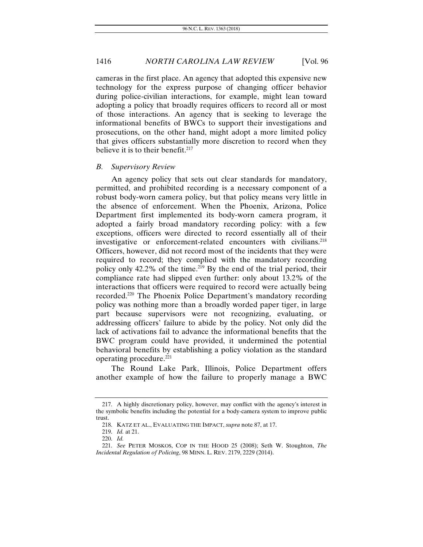cameras in the first place. An agency that adopted this expensive new technology for the express purpose of changing officer behavior during police-civilian interactions, for example, might lean toward adopting a policy that broadly requires officers to record all or most of those interactions. An agency that is seeking to leverage the informational benefits of BWCs to support their investigations and prosecutions, on the other hand, might adopt a more limited policy that gives officers substantially more discretion to record when they believe it is to their benefit. $217$ 

#### *B. Supervisory Review*

An agency policy that sets out clear standards for mandatory, permitted, and prohibited recording is a necessary component of a robust body-worn camera policy, but that policy means very little in the absence of enforcement. When the Phoenix, Arizona, Police Department first implemented its body-worn camera program, it adopted a fairly broad mandatory recording policy: with a few exceptions, officers were directed to record essentially all of their investigative or enforcement-related encounters with civilians.<sup>218</sup> Officers, however, did not record most of the incidents that they were required to record; they complied with the mandatory recording policy only 42.2% of the time.219 By the end of the trial period, their compliance rate had slipped even further: only about 13.2% of the interactions that officers were required to record were actually being recorded.220 The Phoenix Police Department's mandatory recording policy was nothing more than a broadly worded paper tiger, in large part because supervisors were not recognizing, evaluating, or addressing officers' failure to abide by the policy. Not only did the lack of activations fail to advance the informational benefits that the BWC program could have provided, it undermined the potential behavioral benefits by establishing a policy violation as the standard operating procedure. $221$ 

The Round Lake Park, Illinois, Police Department offers another example of how the failure to properly manage a BWC

 <sup>217.</sup> A highly discretionary policy, however, may conflict with the agency's interest in the symbolic benefits including the potential for a body-camera system to improve public trust.

 <sup>218.</sup> KATZ ET AL., EVALUATING THE IMPACT, *supra* note 87, at 17.

<sup>219.</sup> *Id.* at 21.

<sup>220.</sup> *Id.*

<sup>221.</sup> *See* PETER MOSKOS, COP IN THE HOOD 25 (2008); Seth W. Stoughton, *The Incidental Regulation of Policing*, 98 MINN. L. REV. 2179, 2229 (2014).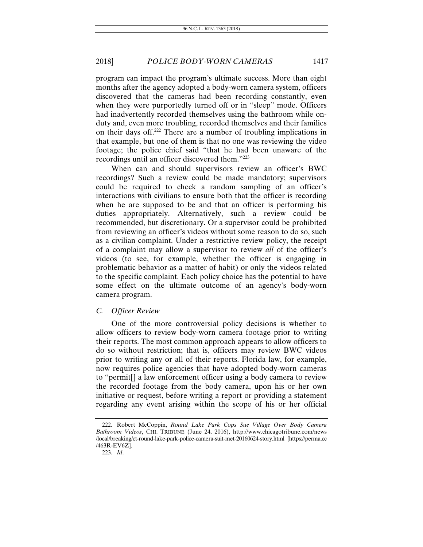program can impact the program's ultimate success. More than eight months after the agency adopted a body-worn camera system, officers discovered that the cameras had been recording constantly, even when they were purportedly turned off or in "sleep" mode. Officers had inadvertently recorded themselves using the bathroom while onduty and, even more troubling, recorded themselves and their families on their days off.222 There are a number of troubling implications in that example, but one of them is that no one was reviewing the video footage; the police chief said "that he had been unaware of the recordings until an officer discovered them."223

When can and should supervisors review an officer's BWC recordings? Such a review could be made mandatory; supervisors could be required to check a random sampling of an officer's interactions with civilians to ensure both that the officer is recording when he are supposed to be and that an officer is performing his duties appropriately. Alternatively, such a review could be recommended, but discretionary. Or a supervisor could be prohibited from reviewing an officer's videos without some reason to do so, such as a civilian complaint. Under a restrictive review policy, the receipt of a complaint may allow a supervisor to review *all* of the officer's videos (to see, for example, whether the officer is engaging in problematic behavior as a matter of habit) or only the videos related to the specific complaint. Each policy choice has the potential to have some effect on the ultimate outcome of an agency's body-worn camera program.

#### *C. Officer Review*

One of the more controversial policy decisions is whether to allow officers to review body-worn camera footage prior to writing their reports. The most common approach appears to allow officers to do so without restriction; that is, officers may review BWC videos prior to writing any or all of their reports. Florida law, for example, now requires police agencies that have adopted body-worn cameras to "permit[] a law enforcement officer using a body camera to review the recorded footage from the body camera, upon his or her own initiative or request, before writing a report or providing a statement regarding any event arising within the scope of his or her official

 <sup>222.</sup> Robert McCoppin, *Round Lake Park Cops Sue Village Over Body Camera Bathroom Videos*, CHI. TRIBUNE (June 24, 2016), http://www.chicagotribune.com/news /local/breaking/ct-round-lake-park-police-camera-suit-met-20160624-story.html [https://perma.cc /463R-EV6Z].

<sup>223.</sup> *Id*.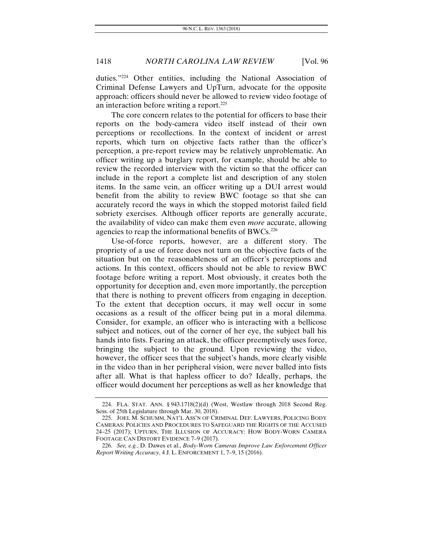duties."224 Other entities, including the National Association of Criminal Defense Lawyers and UpTurn, advocate for the opposite approach: officers should never be allowed to review video footage of an interaction before writing a report.<sup>225</sup>

The core concern relates to the potential for officers to base their reports on the body-camera video itself instead of their own perceptions or recollections. In the context of incident or arrest reports, which turn on objective facts rather than the officer's perception, a pre-report review may be relatively unproblematic. An officer writing up a burglary report, for example, should be able to review the recorded interview with the victim so that the officer can include in the report a complete list and description of any stolen items. In the same vein, an officer writing up a DUI arrest would benefit from the ability to review BWC footage so that she can accurately record the ways in which the stopped motorist failed field sobriety exercises. Although officer reports are generally accurate, the availability of video can make them even *more* accurate, allowing agencies to reap the informational benefits of BWCs.226

Use-of-force reports, however, are a different story. The propriety of a use of force does not turn on the objective facts of the situation but on the reasonableness of an officer's perceptions and actions. In this context, officers should not be able to review BWC footage before writing a report. Most obviously, it creates both the opportunity for deception and, even more importantly, the perception that there is nothing to prevent officers from engaging in deception. To the extent that deception occurs, it may well occur in some occasions as a result of the officer being put in a moral dilemma. Consider, for example, an officer who is interacting with a bellicose subject and notices, out of the corner of her eye, the subject ball his hands into fists. Fearing an attack, the officer preemptively uses force, bringing the subject to the ground. Upon reviewing the video, however, the officer sees that the subject's hands, more clearly visible in the video than in her peripheral vision, were never balled into fists after all. What is that hapless officer to do? Ideally, perhaps, the officer would document her perceptions as well as her knowledge that

 <sup>224.</sup> FLA. STAT. ANN. § 943.1718(2)(d) (West, Westlaw through 2018 Second Reg. Sess. of 25th Legislature through Mar. 30, 2018).

 <sup>225.</sup> JOEL M. SCHUMM, NAT'L ASS'N OF CRIMINAL DEF. LAWYERS, POLICING BODY CAMERAS: POLICIES AND PROCEDURES TO SAFEGUARD THE RIGHTS OF THE ACCUSED 24–25 (2017); UPTURN, THE ILLUSION OF ACCURACY: HOW BODY-WORN CAMERA FOOTAGE CAN DISTORT EVIDENCE 7–9 (2017).

<sup>226.</sup> *See, e.g.*, D. Dawes et al., *Body-Worn Cameras Improve Law Enforcement Officer Report Writing Accuracy*, 4 J. L. ENFORCEMENT 1, 7–9, 15 (2016).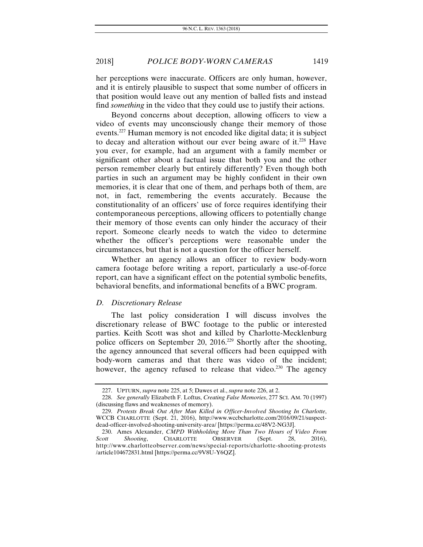her perceptions were inaccurate. Officers are only human, however, and it is entirely plausible to suspect that some number of officers in that position would leave out any mention of balled fists and instead find *something* in the video that they could use to justify their actions.

Beyond concerns about deception, allowing officers to view a video of events may unconsciously change their memory of those events.227 Human memory is not encoded like digital data; it is subject to decay and alteration without our ever being aware of it.<sup>228</sup> Have you ever, for example, had an argument with a family member or significant other about a factual issue that both you and the other person remember clearly but entirely differently? Even though both parties in such an argument may be highly confident in their own memories, it is clear that one of them, and perhaps both of them, are not, in fact, remembering the events accurately. Because the constitutionality of an officers' use of force requires identifying their contemporaneous perceptions, allowing officers to potentially change their memory of those events can only hinder the accuracy of their report. Someone clearly needs to watch the video to determine whether the officer's perceptions were reasonable under the circumstances, but that is not a question for the officer herself.

Whether an agency allows an officer to review body-worn camera footage before writing a report, particularly a use-of-force report, can have a significant effect on the potential symbolic benefits, behavioral benefits, and informational benefits of a BWC program.

#### *D. Discretionary Release*

The last policy consideration I will discuss involves the discretionary release of BWC footage to the public or interested parties. Keith Scott was shot and killed by Charlotte-Mecklenburg police officers on September 20, 2016.<sup>229</sup> Shortly after the shooting, the agency announced that several officers had been equipped with body-worn cameras and that there was video of the incident; however, the agency refused to release that video.<sup>230</sup> The agency

 <sup>227.</sup> UPTURN, *supra* note 225, at 5; Dawes et al., *supra* note 226, at 2.

 <sup>228.</sup> *See generally* Elizabeth F. Loftus, *Creating False Memories*, 277 SCI. AM. 70 (1997) (discussing flaws and weaknesses of memory).

<sup>229.</sup> *Protests Break Out After Man Killed in Officer-Involved Shooting In Charlotte*, WCCB CHARLOTTE (Sept. 21, 2016), http://www.wccbcharlotte.com/2016/09/21/suspectdead-officer-involved-shooting-university-area/ [https://perma.cc/48V2-NG3J].

 <sup>230.</sup> Ames Alexander, *CMPD Withholding More Than Two Hours of Video From Scott Shooting*, CHARLOTTE OBSERVER (Sept. 28, 2016), http://www.charlotteobserver.com/news/special-reports/charlotte-shooting-protests /article104672831.html [https://perma.cc/9V8U-Y6QZ].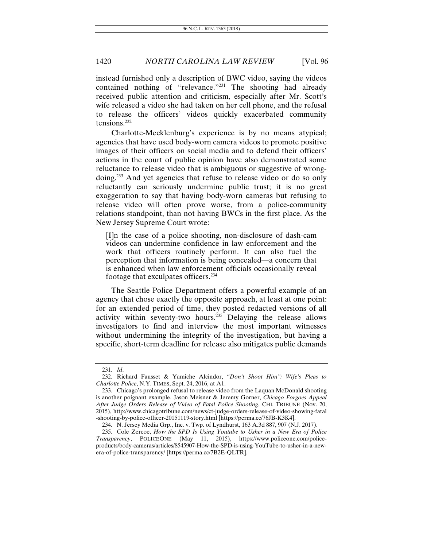instead furnished only a description of BWC video, saying the videos contained nothing of "relevance."<sup>231</sup> The shooting had already received public attention and criticism, especially after Mr. Scott's wife released a video she had taken on her cell phone, and the refusal to release the officers' videos quickly exacerbated community tensions.232

Charlotte-Mecklenburg's experience is by no means atypical; agencies that have used body-worn camera videos to promote positive images of their officers on social media and to defend their officers' actions in the court of public opinion have also demonstrated some reluctance to release video that is ambiguous or suggestive of wrongdoing.233 And yet agencies that refuse to release video or do so only reluctantly can seriously undermine public trust; it is no great exaggeration to say that having body-worn cameras but refusing to release video will often prove worse, from a police-community relations standpoint, than not having BWCs in the first place. As the New Jersey Supreme Court wrote:

[I]n the case of a police shooting, non-disclosure of dash-cam videos can undermine confidence in law enforcement and the work that officers routinely perform. It can also fuel the perception that information is being concealed—a concern that is enhanced when law enforcement officials occasionally reveal footage that exculpates officers.234

The Seattle Police Department offers a powerful example of an agency that chose exactly the opposite approach, at least at one point: for an extended period of time, they posted redacted versions of all activity within seventy-two hours.<sup>235</sup> Delaying the release allows investigators to find and interview the most important witnesses without undermining the integrity of the investigation, but having a specific, short-term deadline for release also mitigates public demands

<sup>231.</sup> *Id*.

 <sup>232.</sup> Richard Fausset & Yamiche Alcindor, *"Don't Shoot Him": Wife's Pleas to Charlotte Police*, N.Y. TIMES, Sept. 24, 2016, at A1.

 <sup>233.</sup> Chicago's prolonged refusal to release video from the Laquan McDonald shooting is another poignant example. Jason Meisner & Jeremy Gorner, *Chicago Forgoes Appeal After Judge Orders Release of Video of Fatal Police Shooting*, CHI. TRIBUNE (Nov. 20, 2015), http://www.chicagotribune.com/news/ct-judge-orders-release-of-video-showing-fatal -shooting-by-police-officer-20151119-story.html [https://perma.cc/76JB-K3K4].

 <sup>234.</sup> N. Jersey Media Grp., Inc. v. Twp. of Lyndhurst, 163 A.3d 887, 907 (N.J. 2017).

 <sup>235.</sup> Cole Zercoe, *How the SPD Is Using Youtube to Usher in a New Era of Police Transparency*, POLICEONE (May 11, 2015), https://www.policeone.com/policeproducts/body-cameras/articles/8545907-How-the-SPD-is-using-YouTube-to-usher-in-a-newera-of-police-transparency/ [https://perma.cc/7B2E-QLTR].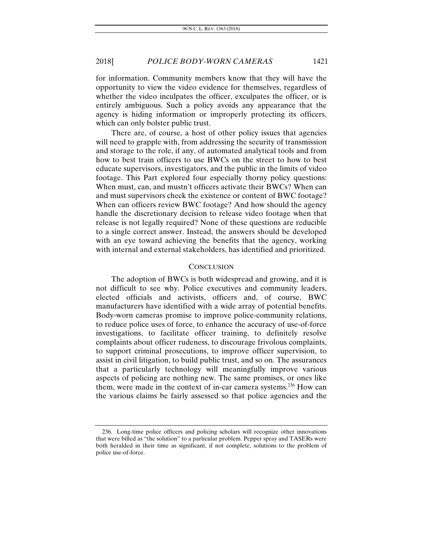for information. Community members know that they will have the opportunity to view the video evidence for themselves, regardless of whether the video inculpates the officer, exculpates the officer, or is entirely ambiguous. Such a policy avoids any appearance that the agency is hiding information or improperly protecting its officers, which can only bolster public trust.

There are, of course, a host of other policy issues that agencies will need to grapple with, from addressing the security of transmission and storage to the role, if any, of automated analytical tools and from how to best train officers to use BWCs on the street to how to best educate supervisors, investigators, and the public in the limits of video footage. This Part explored four especially thorny policy questions: When must, can, and mustn't officers activate their BWCs? When can and must supervisors check the existence or content of BWC footage? When can officers review BWC footage? And how should the agency handle the discretionary decision to release video footage when that release is not legally required? None of these questions are reducible to a single correct answer. Instead, the answers should be developed with an eye toward achieving the benefits that the agency, working with internal and external stakeholders, has identified and prioritized.

#### **CONCLUSION**

The adoption of BWCs is both widespread and growing, and it is not difficult to see why. Police executives and community leaders, elected officials and activists, officers and, of course, BWC manufacturers have identified with a wide array of potential benefits. Body-worn cameras promise to improve police-community relations, to reduce police uses of force, to enhance the accuracy of use-of-force investigations, to facilitate officer training, to definitely resolve complaints about officer rudeness, to discourage frivolous complaints, to support criminal prosecutions, to improve officer supervision, to assist in civil litigation, to build public trust, and so on. The assurances that a particularly technology will meaningfully improve various aspects of policing are nothing new. The same promises, or ones like them, were made in the context of in-car camera systems.<sup>236</sup> How can the various claims be fairly assessed so that police agencies and the

 <sup>236.</sup> Long-time police officers and policing scholars will recognize other innovations that were billed as "the solution" to a particular problem. Pepper spray and TASERs were both heralded in their time as significant, if not complete, solutions to the problem of police use-of-force.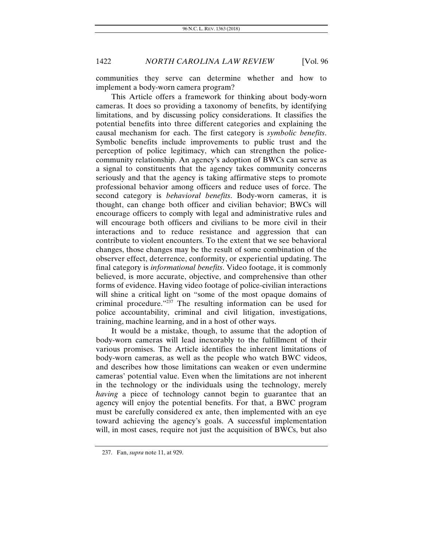communities they serve can determine whether and how to implement a body-worn camera program?

This Article offers a framework for thinking about body-worn cameras. It does so providing a taxonomy of benefits, by identifying limitations, and by discussing policy considerations. It classifies the potential benefits into three different categories and explaining the causal mechanism for each. The first category is *symbolic benefits*. Symbolic benefits include improvements to public trust and the perception of police legitimacy, which can strengthen the policecommunity relationship. An agency's adoption of BWCs can serve as a signal to constituents that the agency takes community concerns seriously and that the agency is taking affirmative steps to promote professional behavior among officers and reduce uses of force. The second category is *behavioral benefits*. Body-worn cameras, it is thought, can change both officer and civilian behavior; BWCs will encourage officers to comply with legal and administrative rules and will encourage both officers and civilians to be more civil in their interactions and to reduce resistance and aggression that can contribute to violent encounters. To the extent that we see behavioral changes, those changes may be the result of some combination of the observer effect, deterrence, conformity, or experiential updating. The final category is *informational benefits*. Video footage, it is commonly believed, is more accurate, objective, and comprehensive than other forms of evidence. Having video footage of police-civilian interactions will shine a critical light on "some of the most opaque domains of criminal procedure."237 The resulting information can be used for police accountability, criminal and civil litigation, investigations, training, machine learning, and in a host of other ways.

It would be a mistake, though, to assume that the adoption of body-worn cameras will lead inexorably to the fulfillment of their various promises. The Article identifies the inherent limitations of body-worn cameras, as well as the people who watch BWC videos, and describes how those limitations can weaken or even undermine cameras' potential value. Even when the limitations are not inherent in the technology or the individuals using the technology, merely *having* a piece of technology cannot begin to guarantee that an agency will enjoy the potential benefits. For that, a BWC program must be carefully considered ex ante, then implemented with an eye toward achieving the agency's goals. A successful implementation will, in most cases, require not just the acquisition of BWCs, but also

 <sup>237.</sup> Fan, *supra* note 11, at 929.